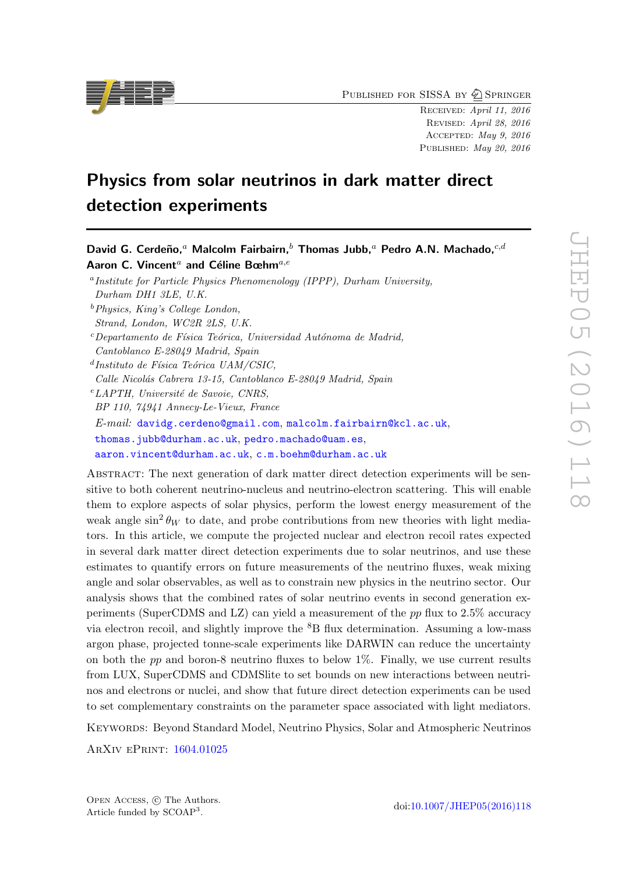PUBLISHED FOR SISSA BY 2 SPRINGER

Received: April 11, 2016 Revised: April 28, 2016 Accepted: May 9, 2016 PUBLISHED: May 20, 2016

# Physics from solar neutrinos in dark matter direct detection experiments

David G. Cerdeño,<sup>a</sup> Malcolm Fairbairn,<sup>b</sup> Thomas Jubb,<sup>a</sup> Pedro A.N. Machado,<sup>c,d</sup>

Aaron C. Vincent<sup>a</sup> and Céline Bœhm<sup>a,e</sup> <sup>a</sup> Institute for Particle Physics Phenomenology (IPPP), Durham University, Durham DH1 3LE, U.K.  $b$ Physics, King's College London, Strand, London, WC2R 2LS, U.K.  $c$ Departamento de Física Teórica, Universidad Autónoma de Madrid, Cantoblanco E-28049 Madrid, Spain  $d$ Instituto de Física Teórica UAM/CSIC, Calle Nicolás Cabrera 13-15, Cantoblanco E-28049 Madrid, Spain  $e$ LAPTH, Université de Savoie, CNRS, BP 110, 74941 Annecy-Le-Vieux, France E-mail: [davidg.cerdeno@gmail.com](mailto:davidg.cerdeno@gmail.com), [malcolm.fairbairn@kcl.ac.uk](mailto:malcolm.fairbairn@kcl.ac.uk), [thomas.jubb@durham.ac.uk](mailto:thomas.jubb@durham.ac.uk), [pedro.machado@uam.es](mailto:pedro.machado@uam.es), [aaron.vincent@durham.ac.uk](mailto:aaron.vincent@durham.ac.uk), [c.m.boehm@durham.ac.uk](mailto:c.m.boehm@durham.ac.uk)

ABSTRACT: The next generation of dark matter direct detection experiments will be sensitive to both coherent neutrino-nucleus and neutrino-electron scattering. This will enable them to explore aspects of solar physics, perform the lowest energy measurement of the weak angle  $\sin^2 \theta_W$  to date, and probe contributions from new theories with light mediators. In this article, we compute the projected nuclear and electron recoil rates expected in several dark matter direct detection experiments due to solar neutrinos, and use these estimates to quantify errors on future measurements of the neutrino fluxes, weak mixing angle and solar observables, as well as to constrain new physics in the neutrino sector. Our analysis shows that the combined rates of solar neutrino events in second generation experiments (SuperCDMS and LZ) can yield a measurement of the pp flux to 2.5% accuracy via electron recoil, and slightly improve the  ${}^{8}B$  flux determination. Assuming a low-mass argon phase, projected tonne-scale experiments like DARWIN can reduce the uncertainty on both the  $pp$  and boron-8 neutrino fluxes to below 1%. Finally, we use current results from LUX, SuperCDMS and CDMSlite to set bounds on new interactions between neutrinos and electrons or nuclei, and show that future direct detection experiments can be used to set complementary constraints on the parameter space associated with light mediators.

Keywords: Beyond Standard Model, Neutrino Physics, Solar and Atmospheric Neutrinos

ArXiv ePrint: [1604.01025](http://arxiv.org/abs/1604.01025)

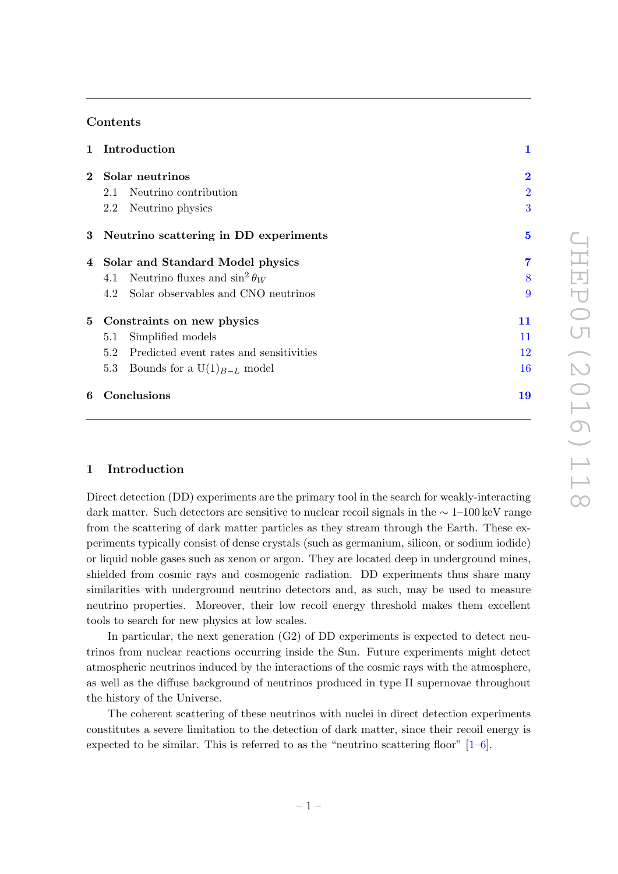# Contents

|   | 1 Introduction                                 | $\mathbf 1$    |
|---|------------------------------------------------|----------------|
|   | 2 Solar neutrinos                              | $\overline{2}$ |
|   | 2.1 Neutrino contribution                      | $\overline{2}$ |
|   | 2.2 Neutrino physics                           | 3              |
|   | 3 Neutrino scattering in DD experiments        | $\overline{5}$ |
|   | 4 Solar and Standard Model physics             | 7              |
|   | 4.1 Neutrino fluxes and $\sin^2 \theta_W$      | 8              |
|   | 4.2 Solar observables and CNO neutrinos        | 9              |
|   | 5 Constraints on new physics                   | 11             |
|   | Simplified models<br>5.1                       | 11             |
|   | Predicted event rates and sensitivities<br>5.2 | 12             |
|   | Bounds for a $U(1)_{B-L}$ model<br>5.3         | 16             |
| 6 | Conclusions                                    | 19             |

## <span id="page-1-0"></span>1 Introduction

Direct detection (DD) experiments are the primary tool in the search for weakly-interacting dark matter. Such detectors are sensitive to nuclear recoil signals in the ∼ 1–100 keV range from the scattering of dark matter particles as they stream through the Earth. These experiments typically consist of dense crystals (such as germanium, silicon, or sodium iodide) or liquid noble gases such as xenon or argon. They are located deep in underground mines, shielded from cosmic rays and cosmogenic radiation. DD experiments thus share many similarities with underground neutrino detectors and, as such, may be used to measure neutrino properties. Moreover, their low recoil energy threshold makes them excellent tools to search for new physics at low scales.

In particular, the next generation  $(G2)$  of DD experiments is expected to detect neutrinos from nuclear reactions occurring inside the Sun. Future experiments might detect atmospheric neutrinos induced by the interactions of the cosmic rays with the atmosphere, as well as the diffuse background of neutrinos produced in type II supernovae throughout the history of the Universe.

The coherent scattering of these neutrinos with nuclei in direct detection experiments constitutes a severe limitation to the detection of dark matter, since their recoil energy is expected to be similar. This is referred to as the "neutrino scattering floor"  $[1-6]$  $[1-6]$ .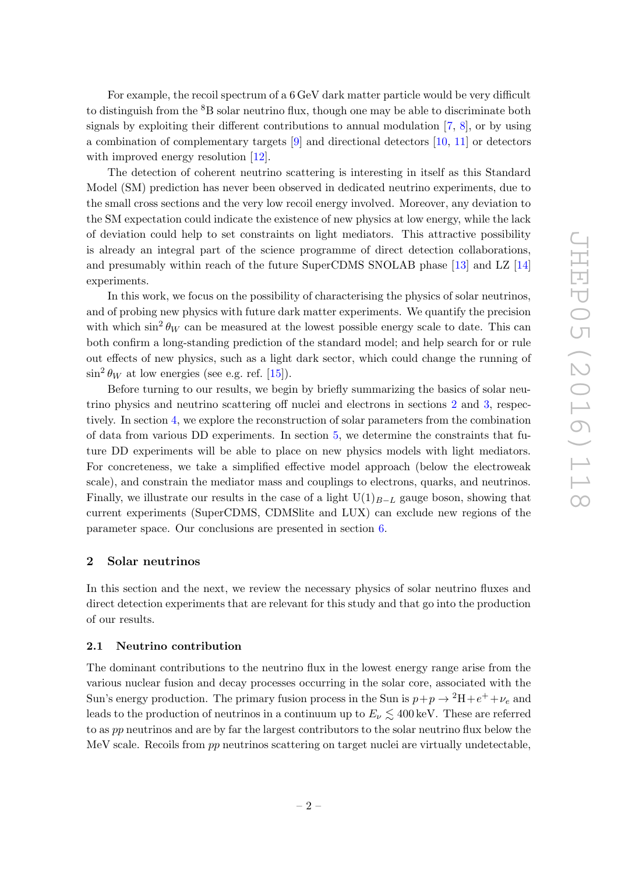For example, the recoil spectrum of a 6 GeV dark matter particle would be very difficult to distinguish from the  ${}^{8}B$  solar neutrino flux, though one may be able to discriminate both signals by exploiting their different contributions to annual modulation [\[7,](#page-21-1) [8\]](#page-21-2), or by using a combination of complementary targets [\[9\]](#page-21-3) and directional detectors [\[10,](#page-21-4) [11\]](#page-21-5) or detectors with improved energy resolution [\[12\]](#page-21-6).

The detection of coherent neutrino scattering is interesting in itself as this Standard Model (SM) prediction has never been observed in dedicated neutrino experiments, due to the small cross sections and the very low recoil energy involved. Moreover, any deviation to the SM expectation could indicate the existence of new physics at low energy, while the lack of deviation could help to set constraints on light mediators. This attractive possibility is already an integral part of the science programme of direct detection collaborations, and presumably within reach of the future SuperCDMS SNOLAB phase [\[13\]](#page-21-7) and LZ [\[14\]](#page-21-8) experiments.

In this work, we focus on the possibility of characterising the physics of solar neutrinos, and of probing new physics with future dark matter experiments. We quantify the precision with which  $\sin^2 \theta_W$  can be measured at the lowest possible energy scale to date. This can both confirm a long-standing prediction of the standard model; and help search for or rule out effects of new physics, such as a light dark sector, which could change the running of  $\sin^2 \theta_W$  at low energies (see e.g. ref. [\[15\]](#page-21-9)).

Before turning to our results, we begin by briefly summarizing the basics of solar neutrino physics and neutrino scattering off nuclei and electrons in sections [2](#page-2-0) and [3,](#page-5-0) respectively. In section [4,](#page-7-0) we explore the reconstruction of solar parameters from the combination of data from various DD experiments. In section [5,](#page-11-0) we determine the constraints that future DD experiments will be able to place on new physics models with light mediators. For concreteness, we take a simplified effective model approach (below the electroweak scale), and constrain the mediator mass and couplings to electrons, quarks, and neutrinos. Finally, we illustrate our results in the case of a light  $U(1)_{B-L}$  gauge boson, showing that current experiments (SuperCDMS, CDMSlite and LUX) can exclude new regions of the parameter space. Our conclusions are presented in section [6.](#page-19-0)

## <span id="page-2-0"></span>2 Solar neutrinos

In this section and the next, we review the necessary physics of solar neutrino fluxes and direct detection experiments that are relevant for this study and that go into the production of our results.

#### <span id="page-2-1"></span>2.1 Neutrino contribution

The dominant contributions to the neutrino flux in the lowest energy range arise from the various nuclear fusion and decay processes occurring in the solar core, associated with the Sun's energy production. The primary fusion process in the Sun is  $p+p \to {}^{2}H+e^{+}+\nu_{e}$  and leads to the production of neutrinos in a continuum up to  $E_{\nu} \lesssim 400 \,\text{keV}$ . These are referred to as pp neutrinos and are by far the largest contributors to the solar neutrino flux below the MeV scale. Recoils from pp neutrinos scattering on target nuclei are virtually undetectable,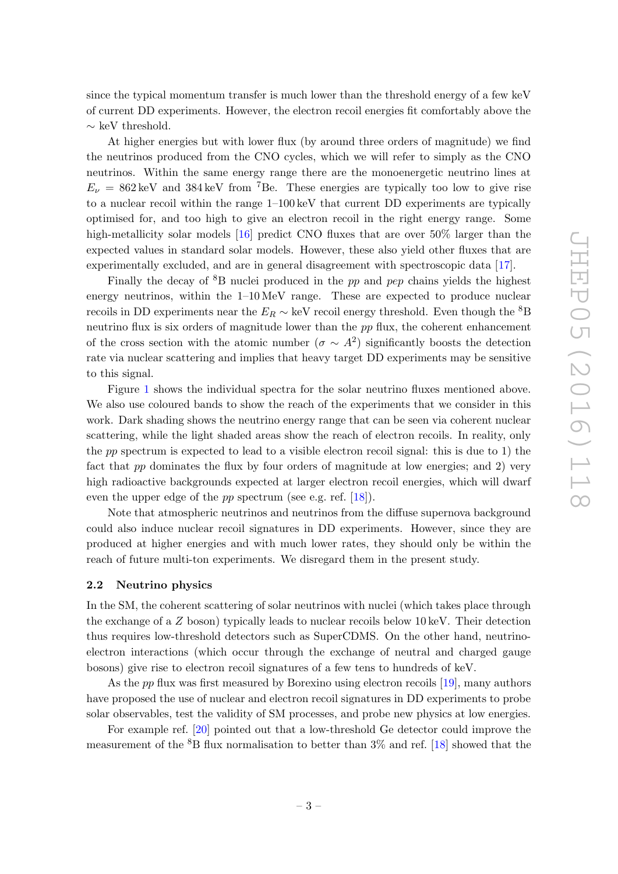since the typical momentum transfer is much lower than the threshold energy of a few keV of current DD experiments. However, the electron recoil energies fit comfortably above the  $\sim$  keV threshold.

At higher energies but with lower flux (by around three orders of magnitude) we find the neutrinos produced from the CNO cycles, which we will refer to simply as the CNO neutrinos. Within the same energy range there are the monoenergetic neutrino lines at  $E_{\nu} = 862 \,\text{keV}$  and 384 keV from <sup>7</sup>Be. These energies are typically too low to give rise to a nuclear recoil within the range 1–100 keV that current DD experiments are typically optimised for, and too high to give an electron recoil in the right energy range. Some high-metallicity solar models [\[16\]](#page-21-10) predict CNO fluxes that are over 50% larger than the expected values in standard solar models. However, these also yield other fluxes that are experimentally excluded, and are in general disagreement with spectroscopic data [\[17\]](#page-21-11).

Finally the decay of  ${}^{8}B$  nuclei produced in the pp and pep chains yields the highest energy neutrinos, within the  $1-10 \text{ MeV}$  range. These are expected to produce nuclear recoils in DD experiments near the  $E_R \sim \text{keV}$  recoil energy threshold. Even though the <sup>8</sup>B neutrino flux is six orders of magnitude lower than the pp flux, the coherent enhancement of the cross section with the atomic number  $(\sigma \sim A^2)$  significantly boosts the detection rate via nuclear scattering and implies that heavy target DD experiments may be sensitive to this signal.

Figure [1](#page-4-0) shows the individual spectra for the solar neutrino fluxes mentioned above. We also use coloured bands to show the reach of the experiments that we consider in this work. Dark shading shows the neutrino energy range that can be seen via coherent nuclear scattering, while the light shaded areas show the reach of electron recoils. In reality, only the pp spectrum is expected to lead to a visible electron recoil signal: this is due to 1) the fact that pp dominates the flux by four orders of magnitude at low energies; and 2) very high radioactive backgrounds expected at larger electron recoil energies, which will dwarf even the upper edge of the *pp* spectrum (see e.g. ref. [\[18\]](#page-21-12)).

Note that atmospheric neutrinos and neutrinos from the diffuse supernova background could also induce nuclear recoil signatures in DD experiments. However, since they are produced at higher energies and with much lower rates, they should only be within the reach of future multi-ton experiments. We disregard them in the present study.

#### <span id="page-3-0"></span>2.2 Neutrino physics

In the SM, the coherent scattering of solar neutrinos with nuclei (which takes place through the exchange of a Z boson) typically leads to nuclear recoils below 10 keV. Their detection thus requires low-threshold detectors such as SuperCDMS. On the other hand, neutrinoelectron interactions (which occur through the exchange of neutral and charged gauge bosons) give rise to electron recoil signatures of a few tens to hundreds of keV.

As the *pp* flux was first measured by Borexino using electron recoils [\[19\]](#page-21-13), many authors have proposed the use of nuclear and electron recoil signatures in DD experiments to probe solar observables, test the validity of SM processes, and probe new physics at low energies.

For example ref. [\[20\]](#page-21-14) pointed out that a low-threshold Ge detector could improve the measurement of the  ${}^{8}B$  flux normalisation to better than  $3\%$  and ref. [\[18\]](#page-21-12) showed that the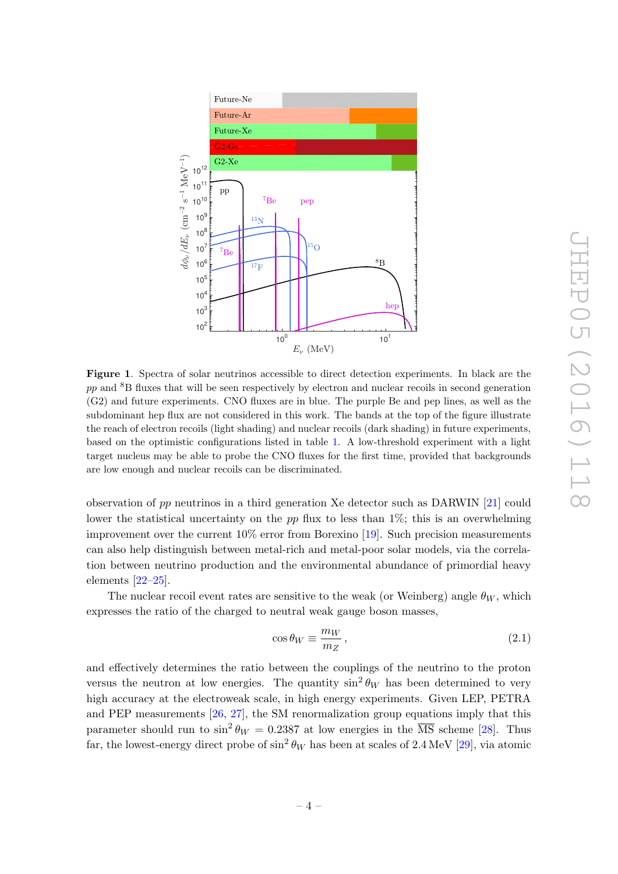

<span id="page-4-0"></span>Figure 1. Spectra of solar neutrinos accessible to direct detection experiments. In black are the pp and <sup>8</sup>B fluxes that will be seen respectively by electron and nuclear recoils in second generation (G2) and future experiments. CNO fluxes are in blue. The purple Be and pep lines, as well as the subdominant hep flux are not considered in this work. The bands at the top of the figure illustrate the reach of electron recoils (light shading) and nuclear recoils (dark shading) in future experiments, based on the optimistic configurations listed in table [1.](#page-6-0) A low-threshold experiment with a light target nucleus may be able to probe the CNO fluxes for the first time, provided that backgrounds are low enough and nuclear recoils can be discriminated.

observation of pp neutrinos in a third generation Xe detector such as DARWIN [\[21\]](#page-22-0) could lower the statistical uncertainty on the pp flux to less than  $1\%$ ; this is an overwhelming improvement over the current 10% error from Borexino [\[19\]](#page-21-13). Such precision measurements can also help distinguish between metal-rich and metal-poor solar models, via the correlation between neutrino production and the environmental abundance of primordial heavy elements  $[22-25]$  $[22-25]$ .

The nuclear recoil event rates are sensitive to the weak (or Weinberg) angle  $\theta_W$ , which expresses the ratio of the charged to neutral weak gauge boson masses,

$$
\cos \theta_W \equiv \frac{m_W}{m_Z},\tag{2.1}
$$

and effectively determines the ratio between the couplings of the neutrino to the proton versus the neutron at low energies. The quantity  $\sin^2 \theta_W$  has been determined to very high accuracy at the electroweak scale, in high energy experiments. Given LEP, PETRA and PEP measurements [\[26,](#page-22-3) [27\]](#page-22-4), the SM renormalization group equations imply that this parameter should run to  $\sin^2 \theta_W = 0.2387$  at low energies in the  $\overline{\text{MS}}$  scheme [\[28\]](#page-22-5). Thus far, the lowest-energy direct probe of  $\sin^2 \theta_W$  has been at scales of 2.4 MeV [\[29\]](#page-22-6), via atomic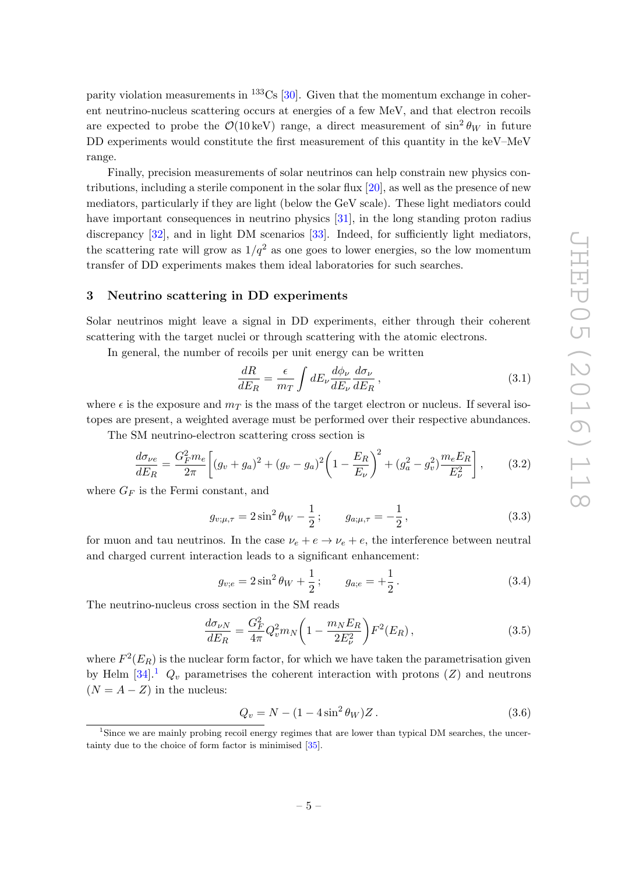parity violation measurements in  $^{133}Cs$  [\[30\]](#page-22-7). Given that the momentum exchange in coherent neutrino-nucleus scattering occurs at energies of a few MeV, and that electron recoils are expected to probe the  $\mathcal{O}(10 \,\text{keV})$  range, a direct measurement of  $\sin^2 \theta_W$  in future DD experiments would constitute the first measurement of this quantity in the keV–MeV range.

Finally, precision measurements of solar neutrinos can help constrain new physics contributions, including a sterile component in the solar flux [\[20\]](#page-21-14), as well as the presence of new mediators, particularly if they are light (below the GeV scale). These light mediators could have important consequences in neutrino physics [\[31\]](#page-22-8), in the long standing proton radius discrepancy [\[32\]](#page-22-9), and in light DM scenarios [\[33\]](#page-22-10). Indeed, for sufficiently light mediators, the scattering rate will grow as  $1/q^2$  as one goes to lower energies, so the low momentum transfer of DD experiments makes them ideal laboratories for such searches.

#### <span id="page-5-0"></span>3 Neutrino scattering in DD experiments

Solar neutrinos might leave a signal in DD experiments, either through their coherent scattering with the target nuclei or through scattering with the atomic electrons.

In general, the number of recoils per unit energy can be written

$$
\frac{dR}{dE_R} = \frac{\epsilon}{m_T} \int dE_\nu \frac{d\phi_\nu}{dE_\nu} \frac{d\sigma_\nu}{dE_R} \,,\tag{3.1}
$$

where  $\epsilon$  is the exposure and  $m<sub>T</sub>$  is the mass of the target electron or nucleus. If several isotopes are present, a weighted average must be performed over their respective abundances.

The SM neutrino-electron scattering cross section is

$$
\frac{d\sigma_{\nu e}}{dE_R} = \frac{G_F^2 m_e}{2\pi} \left[ (g_v + g_a)^2 + (g_v - g_a)^2 \left( 1 - \frac{E_R}{E_\nu} \right)^2 + (g_a^2 - g_v^2) \frac{m_e E_R}{E_\nu^2} \right],\tag{3.2}
$$

where  $G_F$  is the Fermi constant, and

<span id="page-5-3"></span>
$$
g_{v;\mu,\tau} = 2\sin^2\theta_W - \frac{1}{2}; \qquad g_{a;\mu,\tau} = -\frac{1}{2}, \qquad (3.3)
$$

for muon and tau neutrinos. In the case  $\nu_e + e \rightarrow \nu_e + e$ , the interference between neutral and charged current interaction leads to a significant enhancement:

$$
g_{v,e} = 2\sin^2\theta_W + \frac{1}{2}; \qquad g_{a,e} = +\frac{1}{2}.
$$
 (3.4)

The neutrino-nucleus cross section in the SM reads

<span id="page-5-2"></span>
$$
\frac{d\sigma_{\nu N}}{dE_R} = \frac{G_F^2}{4\pi} Q_v^2 m_N \left( 1 - \frac{m_N E_R}{2E_\nu^2} \right) F^2(E_R) \,, \tag{3.5}
$$

where  $F^2(E_R)$  is the nuclear form factor, for which we have taken the parametrisation given by Helm  $[34]$ <sup>[1](#page-5-1)</sup>  $Q_v$  parametrises the coherent interaction with protons (Z) and neutrons  $(N = A - Z)$  in the nucleus:

$$
Q_v = N - (1 - 4\sin^2 \theta_W) Z. \tag{3.6}
$$

<span id="page-5-1"></span><sup>1</sup>Since we are mainly probing recoil energy regimes that are lower than typical DM searches, the uncertainty due to the choice of form factor is minimised [\[35\]](#page-22-12).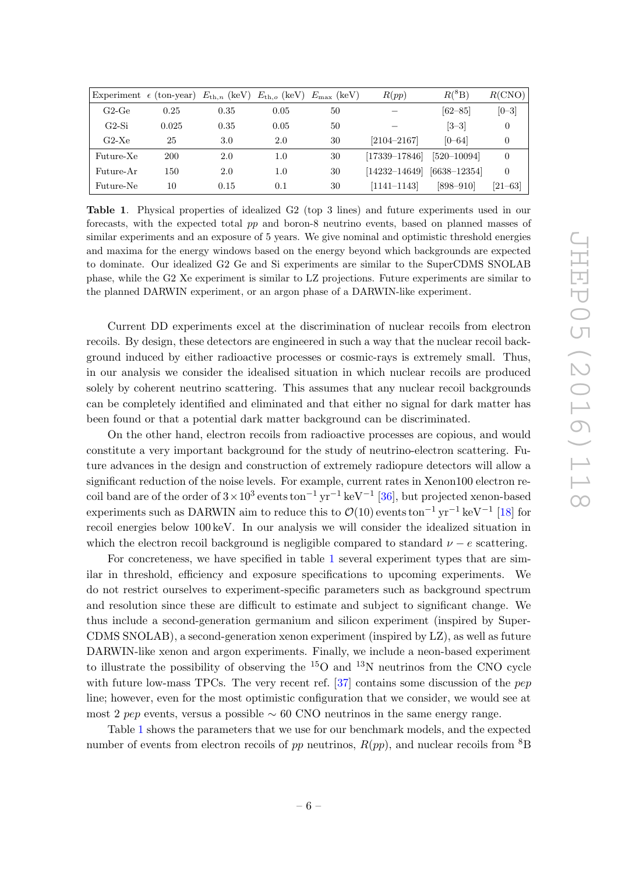|           | Experiment $\epsilon$ (ton-year) $E_{\text{th},n}$ (keV) $E_{\text{th},o}$ (keV) $E_{\text{max}}$ (keV) |      |      |    | R(pp)             | $R(^{8}B)$       | R(CNO)      |
|-----------|---------------------------------------------------------------------------------------------------------|------|------|----|-------------------|------------------|-------------|
| $G2-Ge$   | 0.25                                                                                                    | 0.35 | 0.05 | 50 |                   | $[62 - 85]$      | $[0 - 3]$   |
| G2-Si     | 0.025                                                                                                   | 0.35 | 0.05 | 50 |                   | $[3-3]$          | $\Omega$    |
| $G2-Xe$   | 25                                                                                                      | 3.0  | 2.0  | 30 | $[2104 - 2167]$   | $[0 - 64]$       |             |
| Future-Xe | <b>200</b>                                                                                              | 2.0  | 1.0  | 30 | $[17339 - 17846]$ | $[520 - 10094]$  |             |
| Future-Ar | 150                                                                                                     | 2.0  | 1.0  | 30 | $[14232 - 14649]$ | $[6638 - 12354]$ | 0           |
| Future-Ne | 10                                                                                                      | 0.15 | 0.1  | 30 | $[1141 - 1143]$   | $[898 - 910]$    | $[21 - 63]$ |

<span id="page-6-0"></span>Table 1. Physical properties of idealized G2 (top 3 lines) and future experiments used in our forecasts, with the expected total pp and boron-8 neutrino events, based on planned masses of similar experiments and an exposure of 5 years. We give nominal and optimistic threshold energies and maxima for the energy windows based on the energy beyond which backgrounds are expected to dominate. Our idealized G2 Ge and Si experiments are similar to the SuperCDMS SNOLAB phase, while the G2 Xe experiment is similar to LZ projections. Future experiments are similar to the planned DARWIN experiment, or an argon phase of a DARWIN-like experiment.

Current DD experiments excel at the discrimination of nuclear recoils from electron recoils. By design, these detectors are engineered in such a way that the nuclear recoil background induced by either radioactive processes or cosmic-rays is extremely small. Thus, in our analysis we consider the idealised situation in which nuclear recoils are produced solely by coherent neutrino scattering. This assumes that any nuclear recoil backgrounds can be completely identified and eliminated and that either no signal for dark matter has been found or that a potential dark matter background can be discriminated.

On the other hand, electron recoils from radioactive processes are copious, and would constitute a very important background for the study of neutrino-electron scattering. Future advances in the design and construction of extremely radiopure detectors will allow a significant reduction of the noise levels. For example, current rates in Xenon100 electron recoil band are of the order of  $3 \times 10^3$  events ton<sup>-1</sup> yr<sup>-1</sup> keV<sup>-1</sup> [\[36\]](#page-22-13), but projected xenon-based experiments such as DARWIN aim to reduce this to  $\mathcal{O}(10)$  events ton<sup>-1</sup> yr<sup>-1</sup> keV<sup>-1</sup> [\[18\]](#page-21-12) for recoil energies below 100 keV. In our analysis we will consider the idealized situation in which the electron recoil background is negligible compared to standard  $\nu - e$  scattering.

For concreteness, we have specified in table [1](#page-6-0) several experiment types that are similar in threshold, efficiency and exposure specifications to upcoming experiments. We do not restrict ourselves to experiment-specific parameters such as background spectrum and resolution since these are difficult to estimate and subject to significant change. We thus include a second-generation germanium and silicon experiment (inspired by Super-CDMS SNOLAB), a second-generation xenon experiment (inspired by LZ), as well as future DARWIN-like xenon and argon experiments. Finally, we include a neon-based experiment to illustrate the possibility of observing the  $^{15}O$  and  $^{13}N$  neutrinos from the CNO cycle with future low-mass TPCs. The very recent ref. [\[37\]](#page-22-14) contains some discussion of the pep line; however, even for the most optimistic configuration that we consider, we would see at most 2 pep events, versus a possible  $\sim 60$  CNO neutrinos in the same energy range.

Table [1](#page-6-0) shows the parameters that we use for our benchmark models, and the expected number of events from electron recoils of pp neutrinos,  $R(pp)$ , and nuclear recoils from <sup>8</sup>B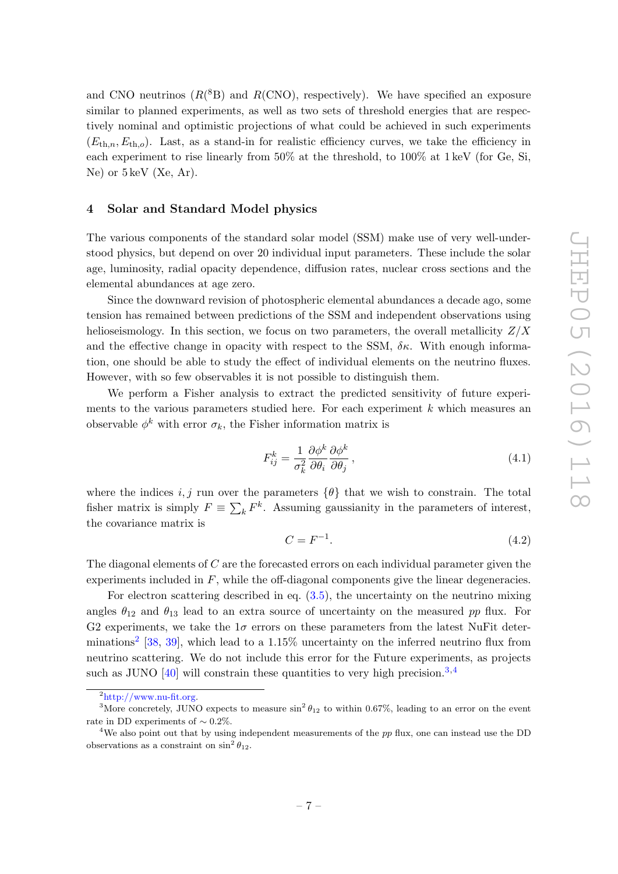and CNO neutrinos  $(R(^{8}B)$  and  $R(CNO)$ , respectively). We have specified an exposure similar to planned experiments, as well as two sets of threshold energies that are respectively nominal and optimistic projections of what could be achieved in such experiments  $(E_{th,n}, E_{th,o})$ . Last, as a stand-in for realistic efficiency curves, we take the efficiency in each experiment to rise linearly from 50% at the threshold, to 100% at 1 keV (for Ge, Si, Ne) or 5 keV (Xe, Ar).

#### <span id="page-7-0"></span>4 Solar and Standard Model physics

The various components of the standard solar model (SSM) make use of very well-understood physics, but depend on over 20 individual input parameters. These include the solar age, luminosity, radial opacity dependence, diffusion rates, nuclear cross sections and the elemental abundances at age zero.

Since the downward revision of photospheric elemental abundances a decade ago, some tension has remained between predictions of the SSM and independent observations using helioseismology. In this section, we focus on two parameters, the overall metallicity  $Z/X$ and the effective change in opacity with respect to the SSM,  $\delta \kappa$ . With enough information, one should be able to study the effect of individual elements on the neutrino fluxes. However, with so few observables it is not possible to distinguish them.

We perform a Fisher analysis to extract the predicted sensitivity of future experiments to the various parameters studied here. For each experiment  $k$  which measures an observable  $\phi^k$  with error  $\sigma_k$ , the Fisher information matrix is

$$
F_{ij}^k = \frac{1}{\sigma_k^2} \frac{\partial \phi^k}{\partial \theta_i} \frac{\partial \phi^k}{\partial \theta_j},\tag{4.1}
$$

where the indices i, j run over the parameters  $\{\theta\}$  that we wish to constrain. The total fisher matrix is simply  $F \equiv \sum_k F^k$ . Assuming gaussianity in the parameters of interest, the covariance matrix is

$$
C = F^{-1}.\tag{4.2}
$$

The diagonal elements of C are the forecasted errors on each individual parameter given the experiments included in  $F$ , while the off-diagonal components give the linear degeneracies.

For electron scattering described in eq.  $(3.5)$ , the uncertainty on the neutrino mixing angles  $\theta_{12}$  and  $\theta_{13}$  lead to an extra source of uncertainty on the measured pp flux. For G2 experiments, we take the  $1\sigma$  errors on these parameters from the latest NuFit deter-minations<sup>[2](#page-7-1)</sup> [\[38,](#page-22-15) [39\]](#page-23-0), which lead to a 1.15% uncertainty on the inferred neutrino flux from neutrino scattering. We do not include this error for the Future experiments, as projects such as JUNO  $[40]$  will constrain these quantities to very high precision.<sup>[3](#page-7-2),[4](#page-7-3)</sup>

<span id="page-7-2"></span><span id="page-7-1"></span> $^{2}$ [http://www.nu-fit.org.](http://www.nu-fit.org)

<sup>&</sup>lt;sup>3</sup>More concretely, JUNO expects to measure  $\sin^2 \theta_{12}$  to within 0.67%, leading to an error on the event rate in DD experiments of  $\sim 0.2\%.$ 

<span id="page-7-3"></span><sup>&</sup>lt;sup>4</sup>We also point out that by using independent measurements of the  $pp$  flux, one can instead use the DD observations as a constraint on  $\sin^2 \theta_{12}$ .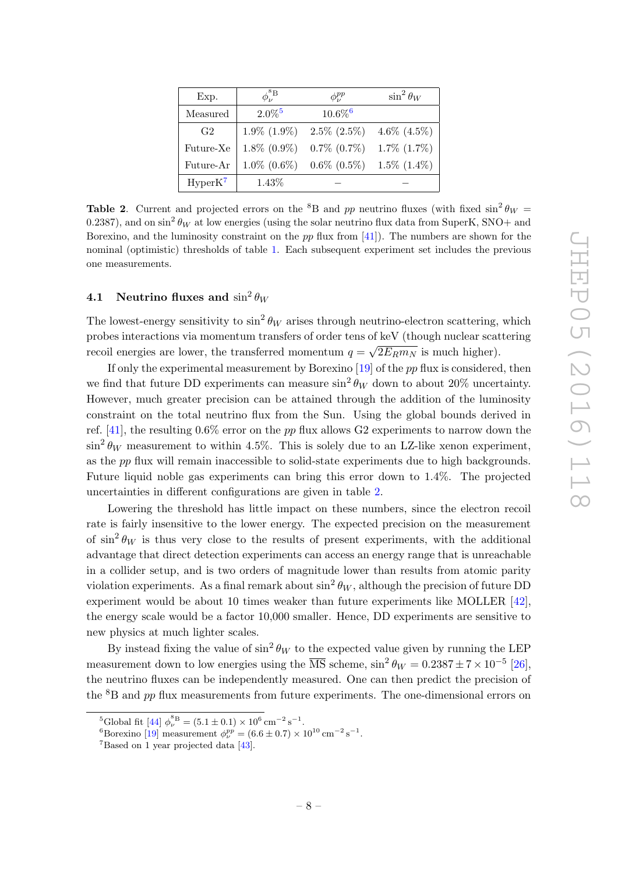| Exp.           | $\phi^{\rm{8B}}_{\nu}$ | $\phi_i^{pp}$         | $\sin^2\theta_W$  |
|----------------|------------------------|-----------------------|-------------------|
| Measured       | $2.0\%$ <sup>5</sup>   | $10.6\%$ <sup>6</sup> |                   |
| G <sub>2</sub> | $1.9\%$ $(1.9\%)$      | $2.5\%$ $(2.5\%)$     | 4.6\% $(4.5\%)$   |
| Future-Xe      | $1.8\%$ $(0.9\%)$      | $0.7\%$ $(0.7\%)$     | $1.7\%$ $(1.7\%)$ |
| Future-Ar      | $1.0\%$ $(0.6\%)$      | $0.6\%$ $(0.5\%)$     | $1.5\%$ $(1.4\%)$ |
| $HyperK^7$     | 1.43\%                 |                       |                   |

<span id="page-8-4"></span>**Table 2.** Current and projected errors on the <sup>8</sup>B and pp neutrino fluxes (with fixed  $\sin^2 \theta_W =$ 0.2387), and on  $\sin^2\theta_W$  at low energies (using the solar neutrino flux data from SuperK, SNO+ and Borexino, and the luminosity constraint on the  $pp$  flux from [\[41\]](#page-23-2)). The numbers are shown for the nominal (optimistic) thresholds of table [1.](#page-6-0) Each subsequent experiment set includes the previous one measurements.

# <span id="page-8-0"></span> $\mathbf{4.1} \quad \textbf{Neutrino fluxes and} \, \sin^2 \theta_W$

The lowest-energy sensitivity to  $\sin^2 \theta_W$  arises through neutrino-electron scattering, which probes interactions via momentum transfers of order tens of keV (though nuclear scattering recoil energies are lower, the transferred momentum  $q = \sqrt{2E_Rm_N}$  is much higher).

If only the experimental measurement by Borexino  $[19]$  of the pp flux is considered, then we find that future DD experiments can measure  $\sin^2 \theta_W$  down to about 20% uncertainty. However, much greater precision can be attained through the addition of the luminosity constraint on the total neutrino flux from the Sun. Using the global bounds derived in ref. [\[41\]](#page-23-2), the resulting  $0.6\%$  error on the pp flux allows G2 experiments to narrow down the  $\sin^2 \theta_W$  measurement to within 4.5%. This is solely due to an LZ-like xenon experiment, as the pp flux will remain inaccessible to solid-state experiments due to high backgrounds. Future liquid noble gas experiments can bring this error down to 1.4%. The projected uncertainties in different configurations are given in table [2.](#page-8-4)

Lowering the threshold has little impact on these numbers, since the electron recoil rate is fairly insensitive to the lower energy. The expected precision on the measurement of  $\sin^2 \theta_W$  is thus very close to the results of present experiments, with the additional advantage that direct detection experiments can access an energy range that is unreachable in a collider setup, and is two orders of magnitude lower than results from atomic parity violation experiments. As a final remark about  $\sin^2 \theta_W$ , although the precision of future DD experiment would be about 10 times weaker than future experiments like MOLLER [\[42\]](#page-23-3), the energy scale would be a factor 10,000 smaller. Hence, DD experiments are sensitive to new physics at much lighter scales.

By instead fixing the value of  $\sin^2 \theta_W$  to the expected value given by running the LEP measurement down to low energies using the  $\overline{\text{MS}}$  scheme,  $\sin^2 \theta_W = 0.2387 \pm 7 \times 10^{-5}$  [\[26\]](#page-22-3), the neutrino fluxes can be independently measured. One can then predict the precision of the  ${}^{8}B$  and pp flux measurements from future experiments. The one-dimensional errors on

<span id="page-8-1"></span><sup>&</sup>lt;sup>5</sup>Global fit [\[44\]](#page-23-4)  $\phi_{\nu}^{8} = (5.1 \pm 0.1) \times 10^{6} \text{ cm}^{-2} \text{ s}^{-1}.$ 

<span id="page-8-2"></span><sup>&</sup>lt;sup>6</sup>Borexino [\[19\]](#page-21-13) measurement  $\phi_{\nu}^{pp} = (6.6 \pm 0.7) \times 10^{10} \text{ cm}^{-2} \text{ s}^{-1}$ .

<span id="page-8-3"></span><sup>7</sup>Based on 1 year projected data [\[43\]](#page-23-5).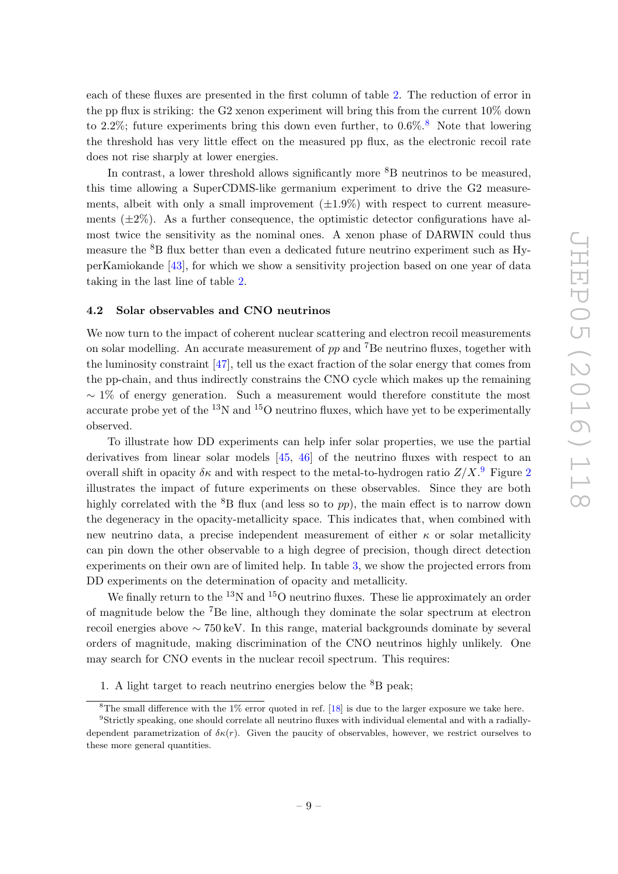each of these fluxes are presented in the first column of table [2.](#page-8-4) The reduction of error in the pp flux is striking: the G2 xenon experiment will bring this from the current 10% down to 2.2%; future experiments bring this down even further, to  $0.6\%$ .<sup>[8](#page-9-1)</sup> Note that lowering the threshold has very little effect on the measured pp flux, as the electronic recoil rate does not rise sharply at lower energies.

In contrast, a lower threshold allows significantly more  ${}^{8}B$  neutrinos to be measured, this time allowing a SuperCDMS-like germanium experiment to drive the G2 measurements, albeit with only a small improvement  $(\pm 1.9\%)$  with respect to current measurements  $(\pm 2\%)$ . As a further consequence, the optimistic detector configurations have almost twice the sensitivity as the nominal ones. A xenon phase of DARWIN could thus measure the  ${}^{8}B$  flux better than even a dedicated future neutrino experiment such as HyperKamiokande [\[43\]](#page-23-5), for which we show a sensitivity projection based on one year of data taking in the last line of table [2.](#page-8-4)

#### <span id="page-9-0"></span>4.2 Solar observables and CNO neutrinos

We now turn to the impact of coherent nuclear scattering and electron recoil measurements on solar modelling. An accurate measurement of  $pp$  and <sup>7</sup>Be neutrino fluxes, together with the luminosity constraint [\[47\]](#page-23-6), tell us the exact fraction of the solar energy that comes from the pp-chain, and thus indirectly constrains the CNO cycle which makes up the remaining  $\sim$  1% of energy generation. Such a measurement would therefore constitute the most accurate probe yet of the  $^{13}N$  and  $^{15}O$  neutrino fluxes, which have yet to be experimentally observed.

To illustrate how DD experiments can help infer solar properties, we use the partial derivatives from linear solar models [\[45,](#page-23-7) [46\]](#page-23-8) of the neutrino fluxes with respect to an overall shift in opacity  $\delta \kappa$  and with respect to the metal-to-hydrogen ratio  $Z/X$ . Figure [2](#page-10-0) illustrates the impact of future experiments on these observables. Since they are both highly correlated with the  ${}^{8}B$  flux (and less so to pp), the main effect is to narrow down the degeneracy in the opacity-metallicity space. This indicates that, when combined with new neutrino data, a precise independent measurement of either  $\kappa$  or solar metallicity can pin down the other observable to a high degree of precision, though direct detection experiments on their own are of limited help. In table [3,](#page-10-1) we show the projected errors from DD experiments on the determination of opacity and metallicity.

We finally return to the <sup>13</sup>N and <sup>15</sup>O neutrino fluxes. These lie approximately an order of magnitude below the <sup>7</sup>Be line, although they dominate the solar spectrum at electron recoil energies above ∼ 750 keV. In this range, material backgrounds dominate by several orders of magnitude, making discrimination of the CNO neutrinos highly unlikely. One may search for CNO events in the nuclear recoil spectrum. This requires:

1. A light target to reach neutrino energies below the  ${}^{8}B$  peak;

<span id="page-9-2"></span><span id="page-9-1"></span><sup>&</sup>lt;sup>8</sup>The small difference with the  $1\%$  error quoted in ref. [\[18\]](#page-21-12) is due to the larger exposure we take here.  $9$ Strictly speaking, one should correlate all neutrino fluxes with individual elemental and with a radially-

dependent parametrization of  $\delta \kappa(r)$ . Given the paucity of observables, however, we restrict ourselves to these more general quantities.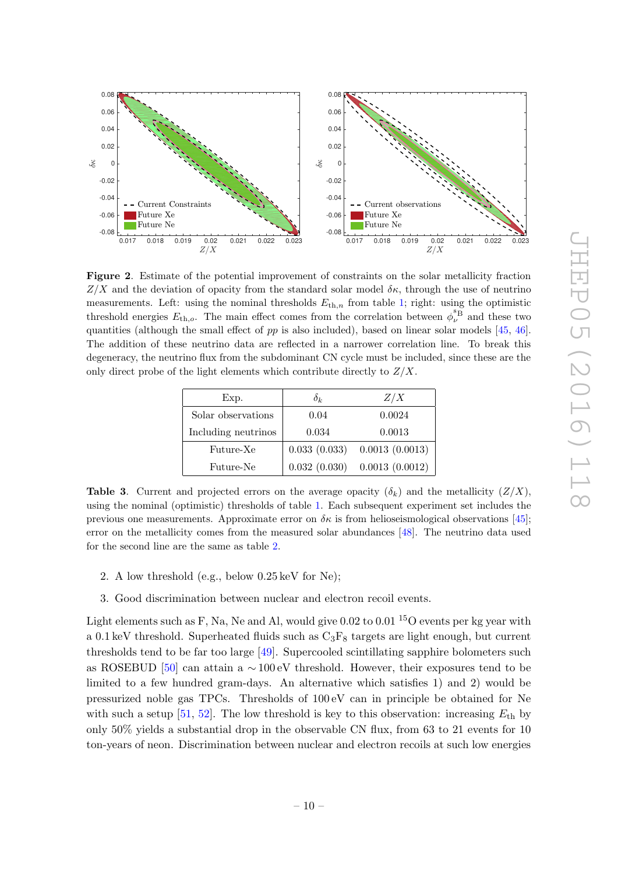

<span id="page-10-0"></span>Figure 2. Estimate of the potential improvement of constraints on the solar metallicity fraction  $Z/X$  and the deviation of opacity from the standard solar model  $\delta\kappa$ , through the use of neutrino measurements. Left: using the nominal thresholds  $E_{th,n}$  from table [1;](#page-6-0) right: using the optimistic threshold energies  $E_{th,o}$ . The main effect comes from the correlation between  $\phi_{\nu}^{\S_{B}}$  and these two quantities (although the small effect of  $pp$  is also included), based on linear solar models [\[45,](#page-23-7) [46\]](#page-23-8). The addition of these neutrino data are reflected in a narrower correlation line. To break this degeneracy, the neutrino flux from the subdominant CN cycle must be included, since these are the only direct probe of the light elements which contribute directly to  $Z/X$ .

| Exp.                | $\delta_k$   | Z/X                             |
|---------------------|--------------|---------------------------------|
| Solar observations  | 0.04         | 0.0024                          |
| Including neutrinos | 0.034        | 0.0013                          |
| Future-Xe           |              | $0.033(0.033)$ $0.0013(0.0013)$ |
| Future-Ne           | 0.032(0.030) | 0.0013(0.0012)                  |

<span id="page-10-1"></span>**Table 3.** Current and projected errors on the average opacity  $(\delta_k)$  and the metallicity  $(Z/X)$ , using the nominal (optimistic) thresholds of table [1.](#page-6-0) Each subsequent experiment set includes the previous one measurements. Approximate error on  $\delta \kappa$  is from helioseismological observations [\[45\]](#page-23-7); error on the metallicity comes from the measured solar abundances [\[48\]](#page-23-9). The neutrino data used for the second line are the same as table [2.](#page-8-4)

- 2. A low threshold (e.g., below 0.25 keV for Ne);
- 3. Good discrimination between nuclear and electron recoil events.

Light elements such as F, Na, Ne and Al, would give  $0.02$  to  $0.01<sup>15</sup>O$  events per kg year with a 0.1 keV threshold. Superheated fluids such as  $C_3F_8$  targets are light enough, but current thresholds tend to be far too large [\[49\]](#page-23-10). Supercooled scintillating sapphire bolometers such as ROSEBUD [\[50\]](#page-23-11) can attain a  $\sim$  100 eV threshold. However, their exposures tend to be limited to a few hundred gram-days. An alternative which satisfies 1) and 2) would be pressurized noble gas TPCs. Thresholds of 100 eV can in principle be obtained for Ne with such a setup [\[51,](#page-23-12) [52\]](#page-23-13). The low threshold is key to this observation: increasing  $E_{\text{th}}$  by only 50% yields a substantial drop in the observable CN flux, from 63 to 21 events for 10 ton-years of neon. Discrimination between nuclear and electron recoils at such low energies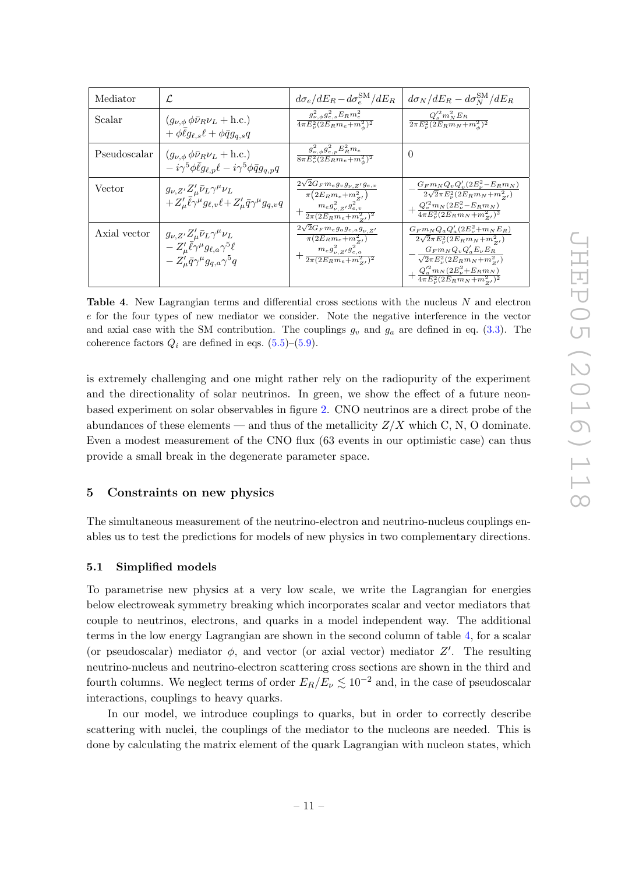| Mediator     | L.                                                                                                                                                              | $d\sigma_e/dE_R - d\sigma_e^{\rm SM}/dE_R$                                                                                                           | $d\sigma_N/dE_R - d\sigma_N^{\rm SM}/dE_R$                                                                                                                                                                                                                        |
|--------------|-----------------------------------------------------------------------------------------------------------------------------------------------------------------|------------------------------------------------------------------------------------------------------------------------------------------------------|-------------------------------------------------------------------------------------------------------------------------------------------------------------------------------------------------------------------------------------------------------------------|
| Scalar       | $(g_{\nu,\phi} \phi \bar{\nu}_R \nu_L + \text{h.c.})$<br>$+\phi \ell g_{\ell,s} \ell + \phi \bar{q} g_{a,s} q$                                                  | $\frac{g_{\nu,\phi}^2g_{e,s}^2E_Rm_e^2}{4\pi E_{\nu}^2(2E_Rm_e+m_{\phi}^2)^2}$                                                                       | $\frac{Q'^2_s m_N^2 E_R}{2\pi E_\nu^2 (2E_R m_N + m_\phi^2)^2}$                                                                                                                                                                                                   |
| Pseudoscalar | $(g_{\nu,\phi} \phi \bar{\nu}_R \nu_L + \text{h.c.})$<br>$-i\gamma^5\phi\bar{\ell}g_{\ell,p}\ell-i\gamma^5\phi\bar{q}g_{q,p}q$                                  | $g_{\nu,\phi}^{2}g_{e,p}^{2}E_{R}^{2}m_{e}$<br>$\frac{1}{8\pi E_{\nu}^2(2E_Rm_e+m_{\phi}^2)^2}$                                                      | $\theta$                                                                                                                                                                                                                                                          |
| Vector       | $g_{\nu,Z'}Z_{\mu}'\bar{\nu}_L\gamma^{\mu}\nu_L$<br>$+Z'_\mu \bar{\ell} \gamma^\mu g_{\ell,\nu} \ell + Z'_\mu \bar{q} \gamma^\mu g_{q,\nu} q$                   | $2\sqrt{2}G_F m_e g_v g_{\nu, Z'} g_{e, v}$<br>$\pi(2E_R m_e + m_{Z'}^2)$<br>$+\frac{m_e g_{\nu,Z'}^2 g_{e,v}^2}{2\pi(2E_R m_e + m_{Z'}^2)^2}$       | $G_F m_N Q_v Q'_v (2E_v^2 - E_R m_N)$<br>$2\sqrt{2}\pi E_{\nu}^{2}(2E_{R}m_{N}+m_{Z_{I}}^{2})$<br>$+\frac{Q_v'^2 m_N (2E_\nu^2 - E_R m_N)}{4\pi E_\nu^2 (2E_R m_N + m_{z'}^2)^2}$                                                                                 |
| Axial vector | $g_{\nu,Z'}Z^{\prime}_{\mu}\bar{\nu}_L\gamma^{\mu}\nu_L$<br>$-Z'_\mu\bar{\ell}\gamma^\mu g_{\ell,a}\gamma^5\ell$<br>$-Z'_\mu\bar{q}\gamma^\mu g_{a,a}\gamma^5q$ | $2\sqrt{2}G_F m_e g_a g_{e,a} g_{\nu,Z'}$<br>$\overline{\pi(2E_Rm_e+m_{Z'}^2)}$<br>$+\frac{m_e g_{\nu,Z'}^2 g_{e,a}^2}{2\pi(2E_R m_e + m_{Z'}^2)^2}$ | $G_F m_N Q_a Q'_a (2E_\nu^2 + m_N E_R)$<br>$\sqrt{2\pi E_{\nu}^2(2E_Rm_N + m_{Z'}^2)}$<br>$G_F m_N Q_v Q'_a E_\nu E_R$<br>$\sqrt{2}\pi E_{\nu}^2(2E_Rm_N+m_{Z}^2)$<br>$+\tfrac{Q_a^{\prime 2} m_N (2 E_\nu^2 + E_R m_N)}{4 \pi E_\nu^2 (2 E_R m_N + m_{Z'}^2)^2}$ |

<span id="page-11-2"></span>Table 4. New Lagrangian terms and differential cross sections with the nucleus N and electron e for the four types of new mediator we consider. Note the negative interference in the vector and axial case with the SM contribution. The couplings  $g_v$  and  $g_a$  are defined in eq. [\(3.3\)](#page-5-3). The coherence factors  $Q_i$  are defined in eqs. [\(5.5\)](#page-12-1)–[\(5.9\)](#page-12-2).

is extremely challenging and one might rather rely on the radiopurity of the experiment and the directionality of solar neutrinos. In green, we show the effect of a future neonbased experiment on solar observables in figure [2.](#page-10-0) CNO neutrinos are a direct probe of the abundances of these elements — and thus of the metallicity  $Z/X$  which C, N, O dominate. Even a modest measurement of the CNO flux (63 events in our optimistic case) can thus provide a small break in the degenerate parameter space.

# <span id="page-11-0"></span>5 Constraints on new physics

The simultaneous measurement of the neutrino-electron and neutrino-nucleus couplings enables us to test the predictions for models of new physics in two complementary directions.

#### <span id="page-11-1"></span>5.1 Simplified models

To parametrise new physics at a very low scale, we write the Lagrangian for energies below electroweak symmetry breaking which incorporates scalar and vector mediators that couple to neutrinos, electrons, and quarks in a model independent way. The additional terms in the low energy Lagrangian are shown in the second column of table [4,](#page-11-2) for a scalar (or pseudoscalar) mediator  $\phi$ , and vector (or axial vector) mediator  $Z'$ . The resulting neutrino-nucleus and neutrino-electron scattering cross sections are shown in the third and fourth columns. We neglect terms of order  $E_R/E_\nu \lesssim 10^{-2}$  and, in the case of pseudoscalar interactions, couplings to heavy quarks.

In our model, we introduce couplings to quarks, but in order to correctly describe scattering with nuclei, the couplings of the mediator to the nucleons are needed. This is done by calculating the matrix element of the quark Lagrangian with nucleon states, which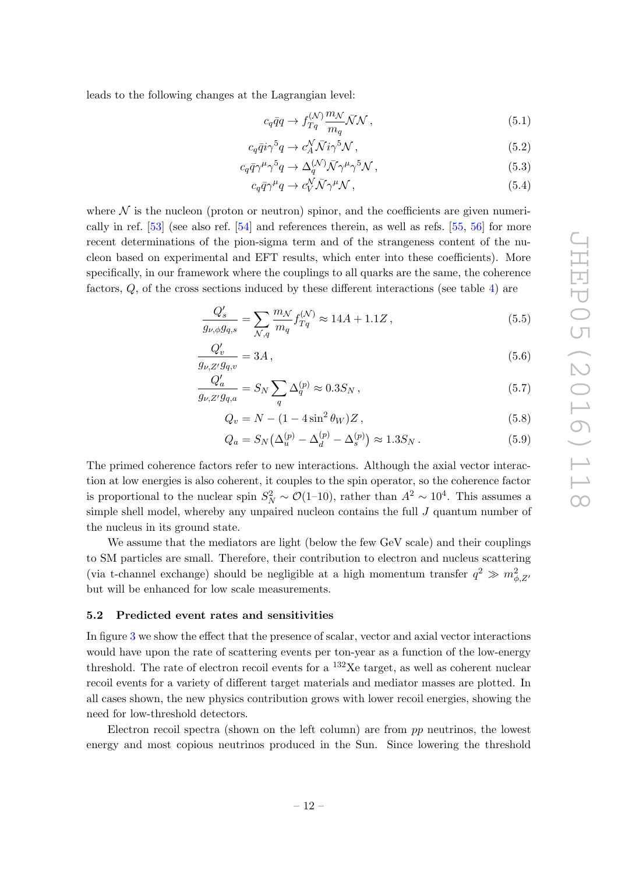leads to the following changes at the Lagrangian level:

$$
c_q \bar{q}q \to f_{Tq}^{(\mathcal{N})} \frac{m_{\mathcal{N}}}{m_q} \bar{\mathcal{N}} \mathcal{N} \,, \tag{5.1}
$$

$$
c_q \bar{q} i \gamma^5 q \to c_A^N \bar{N} i \gamma^5 \mathcal{N} \,, \tag{5.2}
$$

$$
c_q \bar{q} \gamma^{\mu} \gamma^5 q \to \Delta_q^{(\mathcal{N})} \bar{\mathcal{N}} \gamma^{\mu} \gamma^5 \mathcal{N} \,, \tag{5.3}
$$

<span id="page-12-1"></span>
$$
c_q \bar{q} \gamma^{\mu} q \to c_V^{\mathcal{N}} \bar{\mathcal{N}} \gamma^{\mu} \mathcal{N} , \qquad (5.4)
$$

where  $\mathcal N$  is the nucleon (proton or neutron) spinor, and the coefficients are given numerically in ref. [\[53\]](#page-23-14) (see also ref. [\[54\]](#page-23-15) and references therein, as well as refs. [\[55,](#page-23-16) [56\]](#page-23-17) for more recent determinations of the pion-sigma term and of the strangeness content of the nucleon based on experimental and EFT results, which enter into these coefficients). More specifically, in our framework where the couplings to all quarks are the same, the coherence factors, Q, of the cross sections induced by these different interactions (see table [4\)](#page-11-2) are

$$
\frac{Q_s'}{g_{\nu,\phi}g_{q,s}} = \sum_{\mathcal{N},q} \frac{m_{\mathcal{N}}}{m_q} f_{Tq}^{(\mathcal{N})} \approx 14A + 1.1Z \,, \tag{5.5}
$$

$$
\frac{Q'_v}{g_{\nu, Z'} g_{q, v}} = 3A, \qquad (5.6)
$$

$$
\frac{Q'_a}{g_{\nu,Z'}g_{q,a}} = S_N \sum_q \Delta_q^{(p)} \approx 0.3 S_N ,\qquad (5.7)
$$

<span id="page-12-2"></span>
$$
Q_v = N - (1 - 4\sin^2 \theta_W) Z, \qquad (5.8)
$$

$$
Q_a = S_N \left( \Delta_u^{(p)} - \Delta_d^{(p)} - \Delta_s^{(p)} \right) \approx 1.3 S_N \,. \tag{5.9}
$$

The primed coherence factors refer to new interactions. Although the axial vector interaction at low energies is also coherent, it couples to the spin operator, so the coherence factor is proportional to the nuclear spin  $S_N^2 \sim \mathcal{O}(1-10)$ , rather than  $A^2 \sim 10^4$ . This assumes a simple shell model, whereby any unpaired nucleon contains the full  $J$  quantum number of the nucleus in its ground state.

We assume that the mediators are light (below the few GeV scale) and their couplings to SM particles are small. Therefore, their contribution to electron and nucleus scattering (via t-channel exchange) should be negligible at a high momentum transfer  $q^2 \gg m_{\phi, Z'}^2$ but will be enhanced for low scale measurements.

#### <span id="page-12-0"></span>5.2 Predicted event rates and sensitivities

In figure [3](#page-13-0) we show the effect that the presence of scalar, vector and axial vector interactions would have upon the rate of scattering events per ton-year as a function of the low-energy threshold. The rate of electron recoil events for a  $^{132}$ Xe target, as well as coherent nuclear recoil events for a variety of different target materials and mediator masses are plotted. In all cases shown, the new physics contribution grows with lower recoil energies, showing the need for low-threshold detectors.

Electron recoil spectra (shown on the left column) are from pp neutrinos, the lowest energy and most copious neutrinos produced in the Sun. Since lowering the threshold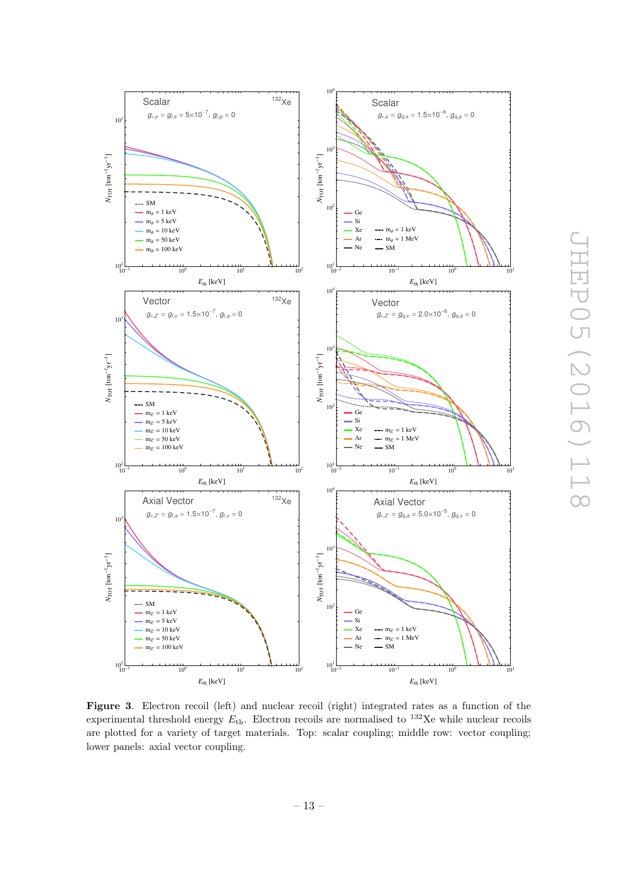

<span id="page-13-0"></span>Figure 3. Electron recoil (left) and nuclear recoil (right) integrated rates as a function of the experimental threshold energy  $E_{\text{th}}$ . Electron recoils are normalised to <sup>132</sup>Xe while nuclear recoils are plotted for a variety of target materials. Top: scalar coupling; middle row: vector coupling; lower panels: axial vector coupling.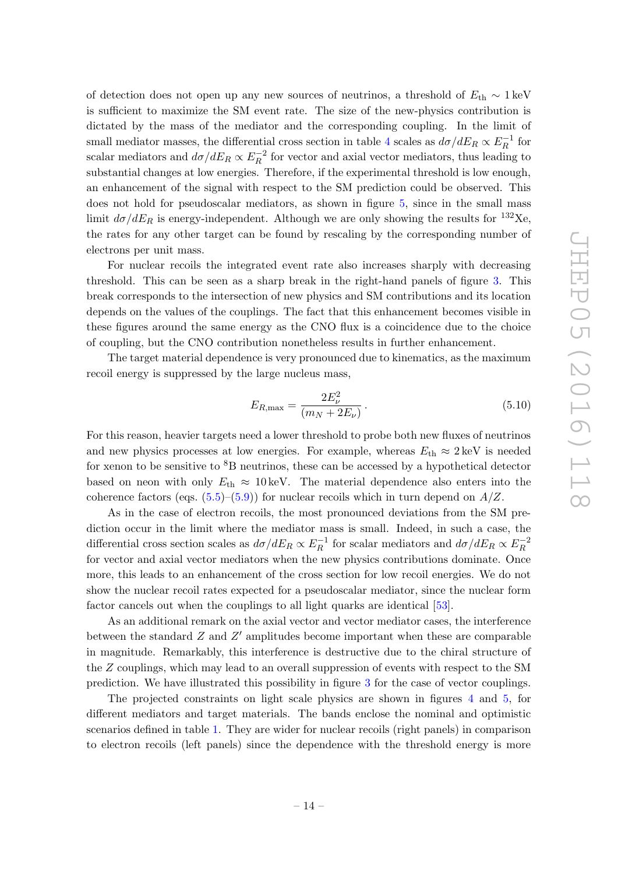of detection does not open up any new sources of neutrinos, a threshold of  $E_{th} \sim 1 \,\text{keV}$ is sufficient to maximize the SM event rate. The size of the new-physics contribution is dictated by the mass of the mediator and the corresponding coupling. In the limit of small mediator masses, the differential cross section in table [4](#page-11-2) scales as  $d\sigma/dE_R \propto E_R^{-1}$  $\frac{1}{R}$  for scalar mediators and  $d\sigma/dE_R \propto E_R^{-2}$  $\frac{R}{R}$  for vector and axial vector mediators, thus leading to substantial changes at low energies. Therefore, if the experimental threshold is low enough, an enhancement of the signal with respect to the SM prediction could be observed. This does not hold for pseudoscalar mediators, as shown in figure [5,](#page-16-1) since in the small mass limit  $d\sigma/dE_R$  is energy-independent. Although we are only showing the results for <sup>132</sup>Xe, the rates for any other target can be found by rescaling by the corresponding number of electrons per unit mass.

For nuclear recoils the integrated event rate also increases sharply with decreasing threshold. This can be seen as a sharp break in the right-hand panels of figure [3.](#page-13-0) This break corresponds to the intersection of new physics and SM contributions and its location depends on the values of the couplings. The fact that this enhancement becomes visible in these figures around the same energy as the CNO flux is a coincidence due to the choice of coupling, but the CNO contribution nonetheless results in further enhancement.

The target material dependence is very pronounced due to kinematics, as the maximum recoil energy is suppressed by the large nucleus mass,

$$
E_{R,\max} = \frac{2E_{\nu}^2}{(m_N + 2E_{\nu})}.
$$
\n(5.10)

For this reason, heavier targets need a lower threshold to probe both new fluxes of neutrinos and new physics processes at low energies. For example, whereas  $E_{\text{th}} \approx 2 \text{ keV}$  is needed for xenon to be sensitive to  ${}^{8}B$  neutrinos, these can be accessed by a hypothetical detector based on neon with only  $E_{\text{th}} \approx 10 \,\text{keV}$ . The material dependence also enters into the coherence factors (eqs.  $(5.5)$ – $(5.9)$ ) for nuclear recoils which in turn depend on  $A/Z$ .

As in the case of electron recoils, the most pronounced deviations from the SM prediction occur in the limit where the mediator mass is small. Indeed, in such a case, the differential cross section scales as  $d\sigma/dE_R \propto E_R^{-1}$  $E_R^{-1}$  for scalar mediators and  $d\sigma/dE_R \propto E_R^{-2}$ R for vector and axial vector mediators when the new physics contributions dominate. Once more, this leads to an enhancement of the cross section for low recoil energies. We do not show the nuclear recoil rates expected for a pseudoscalar mediator, since the nuclear form factor cancels out when the couplings to all light quarks are identical [\[53\]](#page-23-14).

As an additional remark on the axial vector and vector mediator cases, the interference between the standard  $Z$  and  $Z'$  amplitudes become important when these are comparable in magnitude. Remarkably, this interference is destructive due to the chiral structure of the Z couplings, which may lead to an overall suppression of events with respect to the SM prediction. We have illustrated this possibility in figure [3](#page-13-0) for the case of vector couplings.

The projected constraints on light scale physics are shown in figures [4](#page-15-0) and [5,](#page-16-1) for different mediators and target materials. The bands enclose the nominal and optimistic scenarios defined in table [1.](#page-6-0) They are wider for nuclear recoils (right panels) in comparison to electron recoils (left panels) since the dependence with the threshold energy is more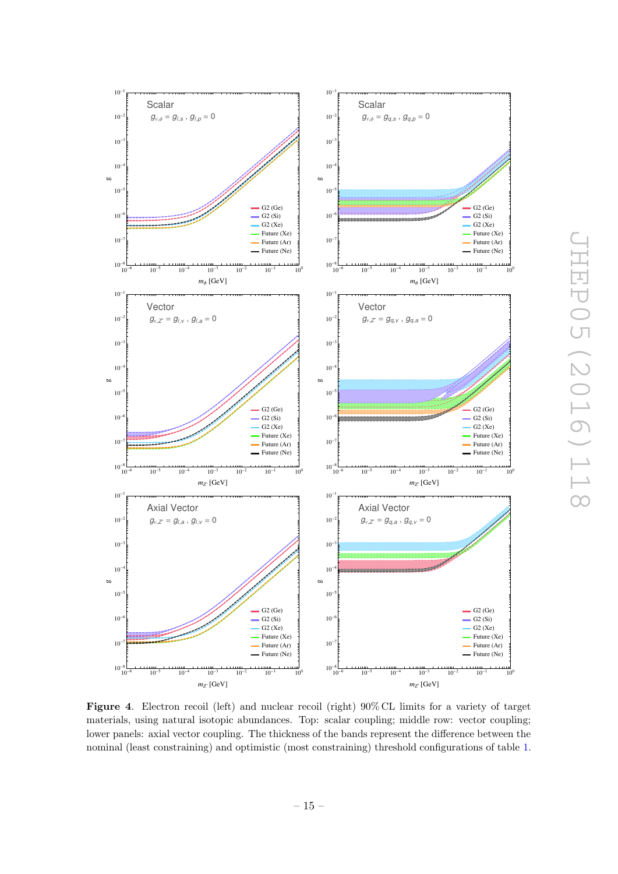

<span id="page-15-0"></span>Figure 4. Electron recoil (left) and nuclear recoil (right)  $90\%$  CL limits for a variety of target materials, using natural isotopic abundances. Top: scalar coupling; middle row: vector coupling; lower panels: axial vector coupling. The thickness of the bands represent the difference between the nominal (least constraining) and optimistic (most constraining) threshold configurations of table [1.](#page-6-0)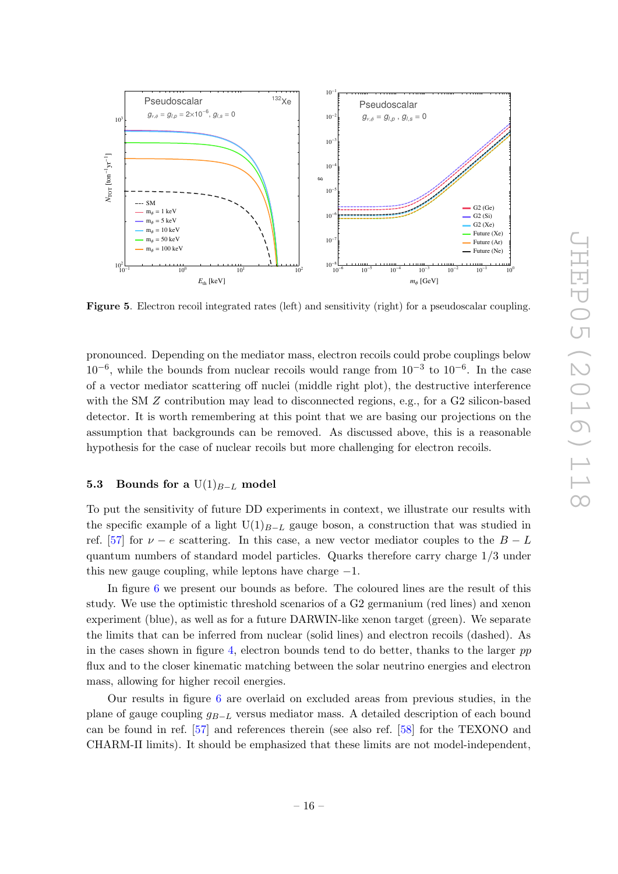

<span id="page-16-1"></span>Figure 5. Electron recoil integrated rates (left) and sensitivity (right) for a pseudoscalar coupling.

pronounced. Depending on the mediator mass, electron recoils could probe couplings below  $10^{-6}$ , while the bounds from nuclear recoils would range from  $10^{-3}$  to  $10^{-6}$ . In the case of a vector mediator scattering off nuclei (middle right plot), the destructive interference with the SM Z contribution may lead to disconnected regions, e.g., for a G2 silicon-based detector. It is worth remembering at this point that we are basing our projections on the assumption that backgrounds can be removed. As discussed above, this is a reasonable hypothesis for the case of nuclear recoils but more challenging for electron recoils.

# <span id="page-16-0"></span>**5.3** Bounds for a  $U(1)_{B-L}$  model

To put the sensitivity of future DD experiments in context, we illustrate our results with the specific example of a light  $U(1)_{B-L}$  gauge boson, a construction that was studied in ref. [\[57\]](#page-24-0) for  $\nu - e$  scattering. In this case, a new vector mediator couples to the  $B - L$ quantum numbers of standard model particles. Quarks therefore carry charge 1/3 under this new gauge coupling, while leptons have charge  $-1$ .

In figure [6](#page-17-0) we present our bounds as before. The coloured lines are the result of this study. We use the optimistic threshold scenarios of a G2 germanium (red lines) and xenon experiment (blue), as well as for a future DARWIN-like xenon target (green). We separate the limits that can be inferred from nuclear (solid lines) and electron recoils (dashed). As in the cases shown in figure [4,](#page-15-0) electron bounds tend to do better, thanks to the larger  $pp$ flux and to the closer kinematic matching between the solar neutrino energies and electron mass, allowing for higher recoil energies.

Our results in figure [6](#page-17-0) are overlaid on excluded areas from previous studies, in the plane of gauge coupling  $g_{B-L}$  versus mediator mass. A detailed description of each bound can be found in ref. [\[57\]](#page-24-0) and references therein (see also ref. [\[58\]](#page-24-1) for the TEXONO and CHARM-II limits). It should be emphasized that these limits are not model-independent,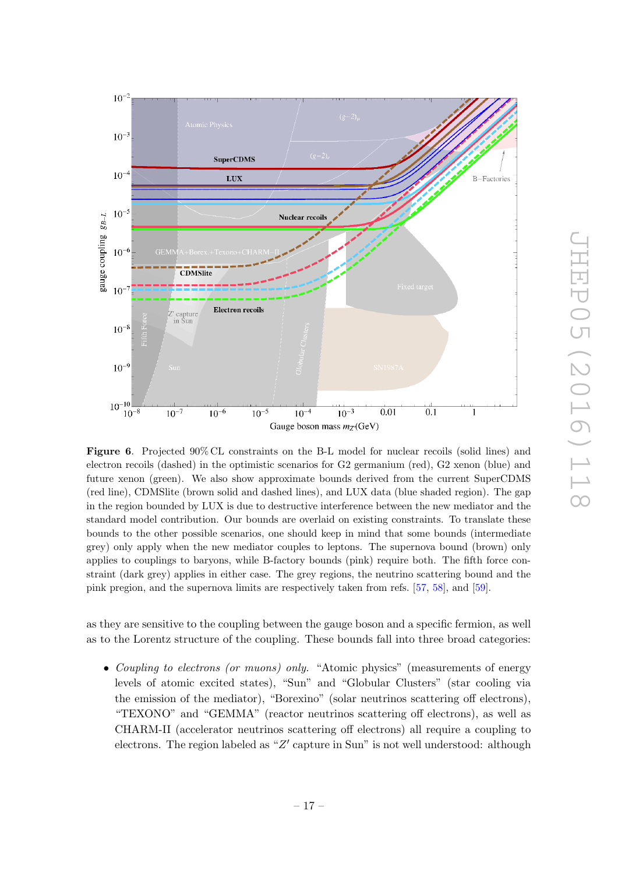

<span id="page-17-0"></span>Figure 6. Projected 90% CL constraints on the B-L model for nuclear recoils (solid lines) and electron recoils (dashed) in the optimistic scenarios for G2 germanium (red), G2 xenon (blue) and future xenon (green). We also show approximate bounds derived from the current SuperCDMS (red line), CDMSlite (brown solid and dashed lines), and LUX data (blue shaded region). The gap in the region bounded by LUX is due to destructive interference between the new mediator and the standard model contribution. Our bounds are overlaid on existing constraints. To translate these bounds to the other possible scenarios, one should keep in mind that some bounds (intermediate grey) only apply when the new mediator couples to leptons. The supernova bound (brown) only applies to couplings to baryons, while B-factory bounds (pink) require both. The fifth force constraint (dark grey) applies in either case. The grey regions, the neutrino scattering bound and the pink pregion, and the supernova limits are respectively taken from refs. [\[57,](#page-24-0) [58\]](#page-24-1), and [\[59\]](#page-24-2).

as they are sensitive to the coupling between the gauge boson and a specific fermion, as well as to the Lorentz structure of the coupling. These bounds fall into three broad categories:

• Coupling to electrons (or muons) only. "Atomic physics" (measurements of energy levels of atomic excited states), "Sun" and "Globular Clusters" (star cooling via the emission of the mediator), "Borexino" (solar neutrinos scattering off electrons), "TEXONO" and "GEMMA" (reactor neutrinos scattering off electrons), as well as CHARM-II (accelerator neutrinos scattering off electrons) all require a coupling to electrons. The region labeled as " $Z'$  capture in Sun" is not well understood: although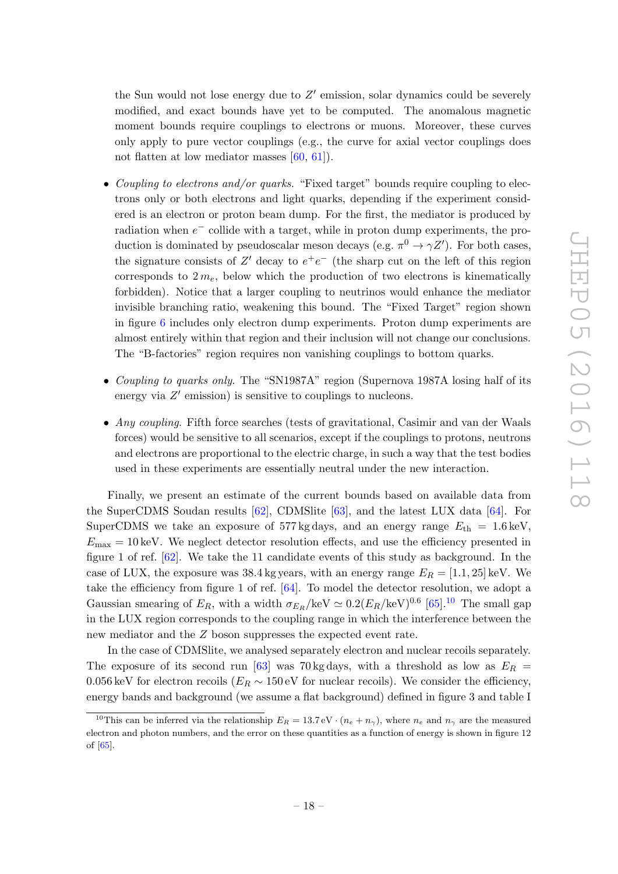the Sun would not lose energy due to  $Z'$  emission, solar dynamics could be severely modified, and exact bounds have yet to be computed. The anomalous magnetic moment bounds require couplings to electrons or muons. Moreover, these curves only apply to pure vector couplings (e.g., the curve for axial vector couplings does not flatten at low mediator masses [\[60,](#page-24-3) [61\]](#page-24-4)).

- Coupling to electrons and/or quarks. "Fixed target" bounds require coupling to electrons only or both electrons and light quarks, depending if the experiment considered is an electron or proton beam dump. For the first, the mediator is produced by radiation when  $e^-$  collide with a target, while in proton dump experiments, the production is dominated by pseudoscalar meson decays (e.g.  $\pi^0 \to \gamma Z'$ ). For both cases, the signature consists of Z' decay to  $e^+e^-$  (the sharp cut on the left of this region corresponds to  $2 m_e$ , below which the production of two electrons is kinematically forbidden). Notice that a larger coupling to neutrinos would enhance the mediator invisible branching ratio, weakening this bound. The "Fixed Target" region shown in figure [6](#page-17-0) includes only electron dump experiments. Proton dump experiments are almost entirely within that region and their inclusion will not change our conclusions. The "B-factories" region requires non vanishing couplings to bottom quarks.
- Coupling to quarks only. The "SN1987A" region (Supernova 1987A losing half of its energy via  $Z'$  emission) is sensitive to couplings to nucleons.
- Any coupling. Fifth force searches (tests of gravitational, Casimir and van der Waals forces) would be sensitive to all scenarios, except if the couplings to protons, neutrons and electrons are proportional to the electric charge, in such a way that the test bodies used in these experiments are essentially neutral under the new interaction.

Finally, we present an estimate of the current bounds based on available data from the SuperCDMS Soudan results [\[62\]](#page-24-5), CDMSlite [\[63\]](#page-24-6), and the latest LUX data [\[64\]](#page-24-7). For SuperCDMS we take an exposure of 577 kg days, and an energy range  $E_{\text{th}} = 1.6 \text{ keV}$ ,  $E_{\text{max}} = 10 \,\text{keV}$ . We neglect detector resolution effects, and use the efficiency presented in figure 1 of ref. [\[62\]](#page-24-5). We take the 11 candidate events of this study as background. In the case of LUX, the exposure was  $38.4$  kg years, with an energy range  $E_R = [1.1, 25]$  keV. We take the efficiency from figure 1 of ref. [\[64\]](#page-24-7). To model the detector resolution, we adopt a Gaussian smearing of  $E_R$ , with a width  $\sigma_{E_R}/\text{keV} \simeq 0.2(E_R/\text{keV})^{0.6}$  [\[65\]](#page-24-8).<sup>[10](#page-18-0)</sup> The small gap in the LUX region corresponds to the coupling range in which the interference between the new mediator and the Z boson suppresses the expected event rate.

In the case of CDMSlite, we analysed separately electron and nuclear recoils separately. The exposure of its second run [\[63\]](#page-24-6) was 70 kg days, with a threshold as low as  $E_R$  = 0.056 keV for electron recoils ( $E_R \sim 150 \text{ eV}$  for nuclear recoils). We consider the efficiency, energy bands and background (we assume a flat background) defined in figure 3 and table I

<span id="page-18-0"></span><sup>&</sup>lt;sup>10</sup>This can be inferred via the relationship  $E_R = 13.7 \,\text{eV} \cdot (n_e + n_\gamma)$ , where  $n_e$  and  $n_\gamma$  are the measured electron and photon numbers, and the error on these quantities as a function of energy is shown in figure 12 of [\[65\]](#page-24-8).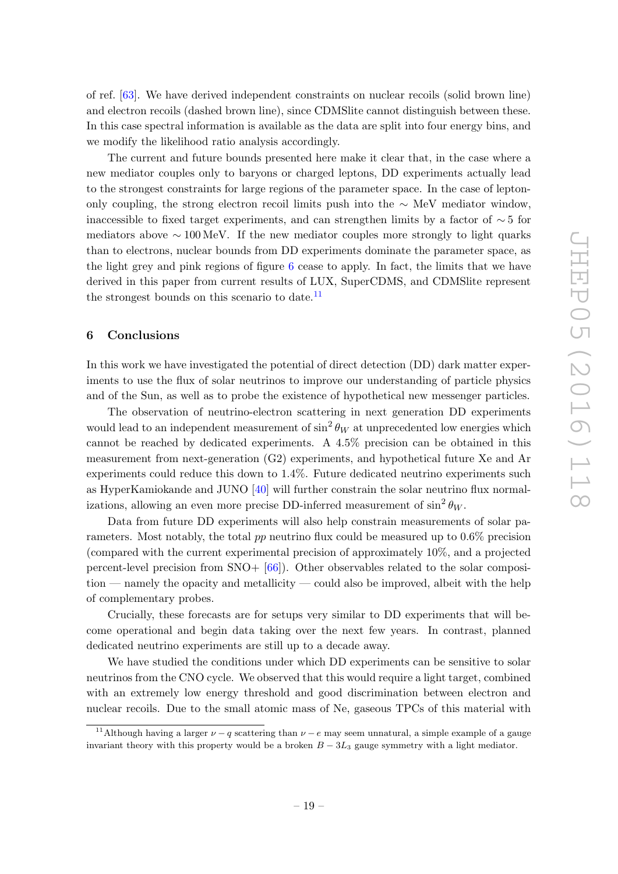of ref. [\[63\]](#page-24-6). We have derived independent constraints on nuclear recoils (solid brown line) and electron recoils (dashed brown line), since CDMSlite cannot distinguish between these. In this case spectral information is available as the data are split into four energy bins, and we modify the likelihood ratio analysis accordingly.

The current and future bounds presented here make it clear that, in the case where a new mediator couples only to baryons or charged leptons, DD experiments actually lead to the strongest constraints for large regions of the parameter space. In the case of leptononly coupling, the strong electron recoil limits push into the  $~\sim~{\rm MeV}$  mediator window, inaccessible to fixed target experiments, and can strengthen limits by a factor of  $\sim$  5 for mediators above  $\sim 100 \,\text{MeV}$ . If the new mediator couples more strongly to light quarks than to electrons, nuclear bounds from DD experiments dominate the parameter space, as the light grey and pink regions of figure [6](#page-17-0) cease to apply. In fact, the limits that we have derived in this paper from current results of LUX, SuperCDMS, and CDMSlite represent the strongest bounds on this scenario to date.<sup>[11](#page-19-1)</sup>

# <span id="page-19-0"></span>6 Conclusions

In this work we have investigated the potential of direct detection (DD) dark matter experiments to use the flux of solar neutrinos to improve our understanding of particle physics and of the Sun, as well as to probe the existence of hypothetical new messenger particles.

The observation of neutrino-electron scattering in next generation DD experiments would lead to an independent measurement of  $\sin^2 \theta_W$  at unprecedented low energies which cannot be reached by dedicated experiments. A 4.5% precision can be obtained in this measurement from next-generation (G2) experiments, and hypothetical future Xe and Ar experiments could reduce this down to 1.4%. Future dedicated neutrino experiments such as HyperKamiokande and JUNO [\[40\]](#page-23-1) will further constrain the solar neutrino flux normalizations, allowing an even more precise DD-inferred measurement of  $\sin^2 \theta_W$ .

Data from future DD experiments will also help constrain measurements of solar parameters. Most notably, the total  $pp$  neutrino flux could be measured up to  $0.6\%$  precision (compared with the current experimental precision of approximately 10%, and a projected percent-level precision from  $SNO+$   $[66]$ ). Other observables related to the solar composition — namely the opacity and metallicity — could also be improved, albeit with the help of complementary probes.

Crucially, these forecasts are for setups very similar to DD experiments that will become operational and begin data taking over the next few years. In contrast, planned dedicated neutrino experiments are still up to a decade away.

We have studied the conditions under which DD experiments can be sensitive to solar neutrinos from the CNO cycle. We observed that this would require a light target, combined with an extremely low energy threshold and good discrimination between electron and nuclear recoils. Due to the small atomic mass of Ne, gaseous TPCs of this material with

<span id="page-19-1"></span><sup>&</sup>lt;sup>11</sup>Although having a larger  $\nu - q$  scattering than  $\nu - e$  may seem unnatural, a simple example of a gauge invariant theory with this property would be a broken  $B - 3L_3$  gauge symmetry with a light mediator.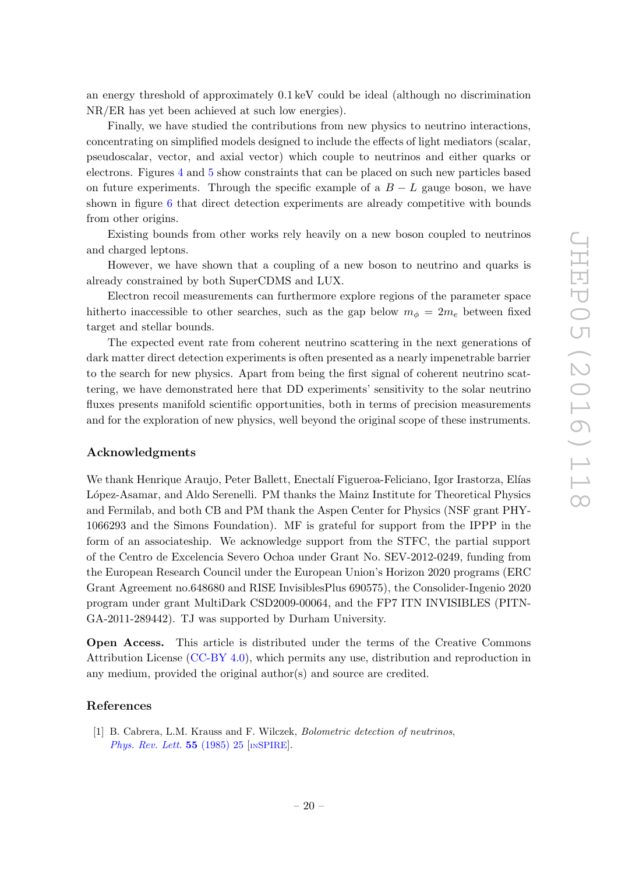an energy threshold of approximately 0.1 keV could be ideal (although no discrimination NR/ER has yet been achieved at such low energies).

Finally, we have studied the contributions from new physics to neutrino interactions, concentrating on simplified models designed to include the effects of light mediators (scalar, pseudoscalar, vector, and axial vector) which couple to neutrinos and either quarks or electrons. Figures [4](#page-15-0) and [5](#page-16-1) show constraints that can be placed on such new particles based on future experiments. Through the specific example of a  $B - L$  gauge boson, we have shown in figure [6](#page-17-0) that direct detection experiments are already competitive with bounds from other origins.

Existing bounds from other works rely heavily on a new boson coupled to neutrinos and charged leptons.

However, we have shown that a coupling of a new boson to neutrino and quarks is already constrained by both SuperCDMS and LUX.

Electron recoil measurements can furthermore explore regions of the parameter space hitherto inaccessible to other searches, such as the gap below  $m_{\phi} = 2m_e$  between fixed target and stellar bounds.

The expected event rate from coherent neutrino scattering in the next generations of dark matter direct detection experiments is often presented as a nearly impenetrable barrier to the search for new physics. Apart from being the first signal of coherent neutrino scattering, we have demonstrated here that DD experiments' sensitivity to the solar neutrino fluxes presents manifold scientific opportunities, both in terms of precision measurements and for the exploration of new physics, well beyond the original scope of these instruments.

# Acknowledgments

We thank Henrique Araujo, Peter Ballett, Enectalí Figueroa-Feliciano, Igor Irastorza, Elías López-Asamar, and Aldo Serenelli. PM thanks the Mainz Institute for Theoretical Physics and Fermilab, and both CB and PM thank the Aspen Center for Physics (NSF grant PHY-1066293 and the Simons Foundation). MF is grateful for support from the IPPP in the form of an associateship. We acknowledge support from the STFC, the partial support of the Centro de Excelencia Severo Ochoa under Grant No. SEV-2012-0249, funding from the European Research Council under the European Union's Horizon 2020 programs (ERC Grant Agreement no.648680 and RISE InvisiblesPlus 690575), the Consolider-Ingenio 2020 program under grant MultiDark CSD2009-00064, and the FP7 ITN INVISIBLES (PITN-GA-2011-289442). TJ was supported by Durham University.

Open Access. This article is distributed under the terms of the Creative Commons Attribution License [\(CC-BY 4.0\)](http://creativecommons.org/licenses/by/4.0/), which permits any use, distribution and reproduction in any medium, provided the original author(s) and source are credited.

#### References

<span id="page-20-0"></span>[1] B. Cabrera, L.M. Krauss and F. Wilczek, Bolometric detection of neutrinos, [Phys. Rev. Lett.](http://dx.doi.org/10.1103/PhysRevLett.55.25) 55 (1985) 25 [IN[SPIRE](http://inspirehep.net/search?p=find+J+"Phys.Rev.Lett.,55,25")].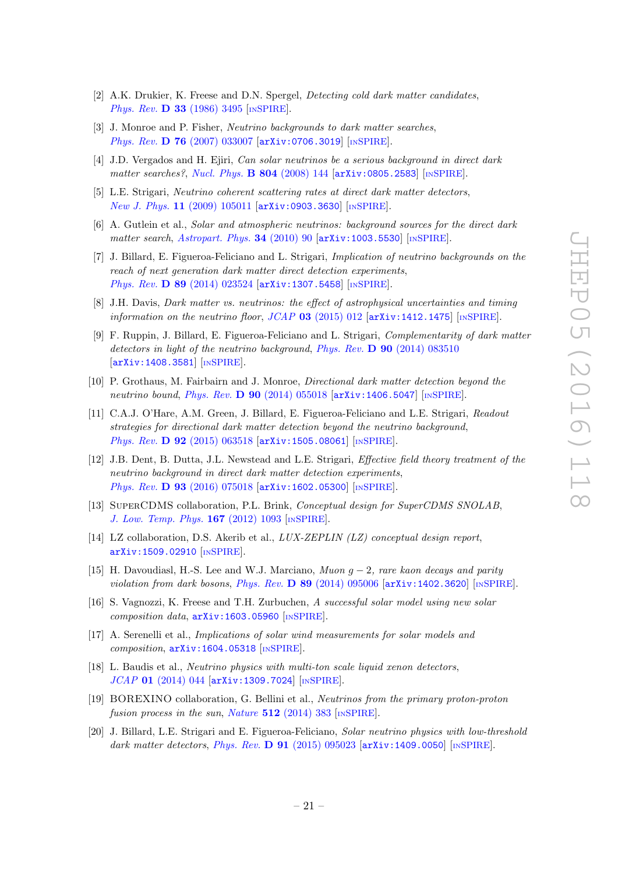- [2] A.K. Drukier, K. Freese and D.N. Spergel, Detecting cold dark matter candidates, Phys. Rev. **D 33** [\(1986\) 3495](http://dx.doi.org/10.1103/PhysRevD.33.3495) [IN[SPIRE](http://inspirehep.net/search?p=find+J+"Phys.Rev.,D33,3495")].
- [3] J. Monroe and P. Fisher, Neutrino backgrounds to dark matter searches, Phys. Rev. D 76 [\(2007\) 033007](http://dx.doi.org/10.1103/PhysRevD.76.033007) [[arXiv:0706.3019](http://arxiv.org/abs/0706.3019)] [IN[SPIRE](http://inspirehep.net/search?p=find+EPRINT+arXiv:0706.3019)].
- [4] J.D. Vergados and H. Ejiri, *Can solar neutrinos be a serious background in direct dark* matter searches?, [Nucl. Phys.](http://dx.doi.org/10.1016/j.nuclphysb.2008.06.004)  $\bf{B}$  804 (2008) 144 [[arXiv:0805.2583](http://arxiv.org/abs/0805.2583)] [IN[SPIRE](http://inspirehep.net/search?p=find+EPRINT+arXiv:0805.2583)].
- [5] L.E. Strigari, Neutrino coherent scattering rates at direct dark matter detectors, New J. Phys. 11 [\(2009\) 105011](http://dx.doi.org/10.1088/1367-2630/11/10/105011) [[arXiv:0903.3630](http://arxiv.org/abs/0903.3630)] [IN[SPIRE](http://inspirehep.net/search?p=find+EPRINT+arXiv:0903.3630)].
- <span id="page-21-0"></span>[6] A. Gutlein et al., Solar and atmospheric neutrinos: background sources for the direct dark matter search, [Astropart. Phys.](http://dx.doi.org/10.1016/j.astropartphys.2010.06.002) 34 (2010) 90  $\left[$ [arXiv:1003.5530](http://arxiv.org/abs/1003.5530) $\right]$  [IN[SPIRE](http://inspirehep.net/search?p=find+EPRINT+arXiv:1003.5530)].
- <span id="page-21-1"></span>[7] J. Billard, E. Figueroa-Feliciano and L. Strigari, Implication of neutrino backgrounds on the reach of next generation dark matter direct detection experiments, Phys. Rev. D 89 [\(2014\) 023524](http://dx.doi.org/10.1103/PhysRevD.89.023524) [[arXiv:1307.5458](http://arxiv.org/abs/1307.5458)] [IN[SPIRE](http://inspirehep.net/search?p=find+EPRINT+arXiv:1307.5458)].
- <span id="page-21-2"></span>[8] J.H. Davis, Dark matter vs. neutrinos: the effect of astrophysical uncertainties and timing information on the neutrino floor, JCAP  $03$  [\(2015\) 012](http://dx.doi.org/10.1088/1475-7516/2015/03/012) [[arXiv:1412.1475](http://arxiv.org/abs/1412.1475)] [IN[SPIRE](http://inspirehep.net/search?p=find+EPRINT+arXiv:1412.1475)].
- <span id="page-21-3"></span>[9] F. Ruppin, J. Billard, E. Figueroa-Feliciano and L. Strigari, Complementarity of dark matter detectors in light of the neutrino background, Phys. Rev. D 90 [\(2014\) 083510](http://dx.doi.org/10.1103/PhysRevD.90.083510) [[arXiv:1408.3581](http://arxiv.org/abs/1408.3581)] [IN[SPIRE](http://inspirehep.net/search?p=find+EPRINT+arXiv:1408.3581)].
- <span id="page-21-4"></span>[10] P. Grothaus, M. Fairbairn and J. Monroe, Directional dark matter detection beyond the neutrino bound, Phys. Rev. D 90 [\(2014\) 055018](http://dx.doi.org/10.1103/PhysRevD.90.055018) [[arXiv:1406.5047](http://arxiv.org/abs/1406.5047)] [IN[SPIRE](http://inspirehep.net/search?p=find+EPRINT+arXiv:1406.5047)].
- <span id="page-21-5"></span>[11] C.A.J. O'Hare, A.M. Green, J. Billard, E. Figueroa-Feliciano and L.E. Strigari, Readout strategies for directional dark matter detection beyond the neutrino background, Phys. Rev. D 92 [\(2015\) 063518](http://dx.doi.org/10.1103/PhysRevD.92.063518) [[arXiv:1505.08061](http://arxiv.org/abs/1505.08061)] [IN[SPIRE](http://inspirehep.net/search?p=find+EPRINT+arXiv:1505.08061)].
- <span id="page-21-6"></span>[12] J.B. Dent, B. Dutta, J.L. Newstead and L.E. Strigari, Effective field theory treatment of the neutrino background in direct dark matter detection experiments, Phys. Rev. D 93 [\(2016\) 075018](http://dx.doi.org/10.1103/PhysRevD.93.075018) [[arXiv:1602.05300](http://arxiv.org/abs/1602.05300)] [IN[SPIRE](http://inspirehep.net/search?p=find+EPRINT+arXiv:1602.05300)].
- <span id="page-21-7"></span>[13] SuperCDMS collaboration, P.L. Brink, Conceptual design for SuperCDMS SNOLAB, [J. Low. Temp. Phys.](http://dx.doi.org/10.1007/s10909-011-0440-3) 167 (2012) 1093 [IN[SPIRE](http://inspirehep.net/search?p=find+"Low.Temp.Phys.,167,1093")].
- <span id="page-21-8"></span>[14] LZ collaboration, D.S. Akerib et al., LUX-ZEPLIN (LZ) conceptual design report, [arXiv:1509.02910](http://arxiv.org/abs/1509.02910) [IN[SPIRE](http://inspirehep.net/search?p=find+EPRINT+arXiv:1509.02910)].
- <span id="page-21-9"></span>[15] H. Davoudiasl, H.-S. Lee and W.J. Marciano, Muon  $q-2$ , rare kaon decays and parity violation from dark bosons, Phys. Rev.  $D$  89 [\(2014\) 095006](http://dx.doi.org/10.1103/PhysRevD.89.095006)  $\arXiv:1402.3620$  $\arXiv:1402.3620$  [IN[SPIRE](http://inspirehep.net/search?p=find+EPRINT+arXiv:1402.3620)].
- <span id="page-21-10"></span>[16] S. Vagnozzi, K. Freese and T.H. Zurbuchen, A successful solar model using new solar composition data, [arXiv:1603.05960](http://arxiv.org/abs/1603.05960) [IN[SPIRE](http://inspirehep.net/search?p=find+EPRINT+arXiv:1603.05960)].
- <span id="page-21-11"></span>[17] A. Serenelli et al., Implications of solar wind measurements for solar models and composition, [arXiv:1604.05318](http://arxiv.org/abs/1604.05318) [IN[SPIRE](http://inspirehep.net/search?p=find+EPRINT+arXiv:1604.05318)].
- <span id="page-21-12"></span>[18] L. Baudis et al., *Neutrino physics with multi-ton scale liquid xenon detectors*, JCAP 01 [\(2014\) 044](http://dx.doi.org/10.1088/1475-7516/2014/01/044) [[arXiv:1309.7024](http://arxiv.org/abs/1309.7024)] [IN[SPIRE](http://inspirehep.net/search?p=find+EPRINT+arXiv:1309.7024)].
- <span id="page-21-13"></span>[19] BOREXINO collaboration, G. Bellini et al., Neutrinos from the primary proton-proton fusion process in the sun, Nature  $512$  [\(2014\) 383](http://dx.doi.org/10.1038/nature13702) [IN[SPIRE](http://inspirehep.net/search?p=find+J+"Nature,512,383")].
- <span id="page-21-14"></span>[20] J. Billard, L.E. Strigari and E. Figueroa-Feliciano, Solar neutrino physics with low-threshold dark matter detectors, Phys. Rev.  $\bf{D}$  91 [\(2015\) 095023](http://dx.doi.org/10.1103/PhysRevD.91.095023) [[arXiv:1409.0050](http://arxiv.org/abs/1409.0050)] [IN[SPIRE](http://inspirehep.net/search?p=find+EPRINT+arXiv:1409.0050)].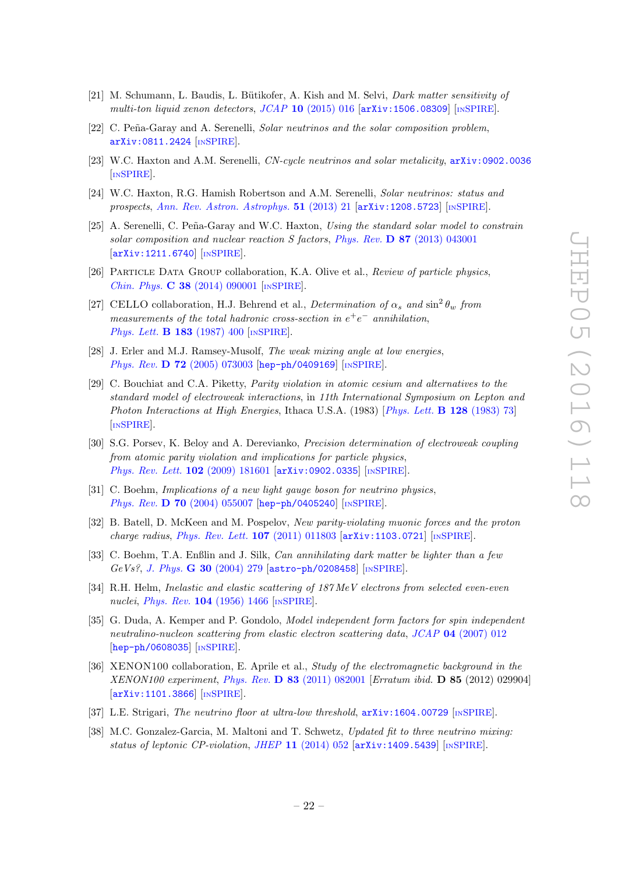- <span id="page-22-0"></span>[21] M. Schumann, L. Baudis, L. Bütikofer, A. Kish and M. Selvi, *Dark matter sensitivity of* multi-ton liquid xenon detectors,  $JCAP$  10 [\(2015\) 016](http://dx.doi.org/10.1088/1475-7516/2015/10/016)  $[\text{arXiv:1506.08309}]$  $[\text{arXiv:1506.08309}]$  $[\text{arXiv:1506.08309}]$   $[\text{INSPIRE}]$  $[\text{INSPIRE}]$  $[\text{INSPIRE}]$ .
- <span id="page-22-1"></span>[22] C. Peña-Garay and A. Serenelli, Solar neutrinos and the solar composition problem, [arXiv:0811.2424](http://arxiv.org/abs/0811.2424) [IN[SPIRE](http://inspirehep.net/search?p=find+EPRINT+arXiv:0811.2424)].
- [23] W.C. Haxton and A.M. Serenelli, CN-cycle neutrinos and solar metalicity, [arXiv:0902.0036](http://arxiv.org/abs/0902.0036) [IN[SPIRE](http://inspirehep.net/search?p=find+EPRINT+arXiv:0902.0036)].
- [24] W.C. Haxton, R.G. Hamish Robertson and A.M. Serenelli, Solar neutrinos: status and prospects, [Ann. Rev. Astron. Astrophys.](http://dx.doi.org/10.1146/annurev-astro-081811-125539)  $51$  (2013) 21 [[arXiv:1208.5723](http://arxiv.org/abs/1208.5723)] [IN[SPIRE](http://inspirehep.net/search?p=find+EPRINT+arXiv:1208.5723)].
- <span id="page-22-2"></span>[25] A. Serenelli, C. Peña-Garay and W.C. Haxton, Using the standard solar model to constrain solar composition and nuclear reaction S factors, Phys. Rev.  $\bf{D}$  87 [\(2013\) 043001](http://dx.doi.org/10.1103/PhysRevD.87.043001) [[arXiv:1211.6740](http://arxiv.org/abs/1211.6740)] [IN[SPIRE](http://inspirehep.net/search?p=find+EPRINT+arXiv:1211.6740)].
- <span id="page-22-3"></span>[26] Particle Data Group collaboration, K.A. Olive et al., Review of particle physics, Chin. Phys. C 38 [\(2014\) 090001](http://dx.doi.org/10.1088/1674-1137/38/9/090001) [IN[SPIRE](http://inspirehep.net/search?p=find+J+"Chin.Phys.,C38,090001")].
- <span id="page-22-4"></span>[27] CELLO collaboration, H.J. Behrend et al., Determination of  $\alpha_s$  and  $\sin^2 \theta_w$  from measurements of the total hadronic cross-section in  $e^+e^-$  annihilation, [Phys. Lett.](http://dx.doi.org/10.1016/0370-2693(87)90986-5) **B 183** (1987) 400 [IN[SPIRE](http://inspirehep.net/search?p=find+J+"Phys.Lett.,B183,400")].
- <span id="page-22-5"></span>[28] J. Erler and M.J. Ramsey-Musolf, The weak mixing angle at low energies, Phys. Rev. **D 72** [\(2005\) 073003](http://dx.doi.org/10.1103/PhysRevD.72.073003) [[hep-ph/0409169](http://arxiv.org/abs/hep-ph/0409169)] [IN[SPIRE](http://inspirehep.net/search?p=find+EPRINT+hep-ph/0409169)].
- <span id="page-22-6"></span>[29] C. Bouchiat and C.A. Piketty, Parity violation in atomic cesium and alternatives to the standard model of electroweak interactions, in 11th International Symposium on Lepton and Photon Interactions at High Energies, Ithaca U.S.A. (1983) [[Phys. Lett.](http://dx.doi.org/10.1016/0370-2693(83)90076-X) **B 128** (1983) 73] [IN[SPIRE](http://inspirehep.net/search?p=find+J+"Phys.Lett.,B128,73")].
- <span id="page-22-7"></span>[30] S.G. Porsev, K. Beloy and A. Derevianko, Precision determination of electroweak coupling from atomic parity violation and implications for particle physics, [Phys. Rev. Lett.](http://dx.doi.org/10.1103/PhysRevLett.102.181601) 102 (2009) 181601 [[arXiv:0902.0335](http://arxiv.org/abs/0902.0335)] [IN[SPIRE](http://inspirehep.net/search?p=find+EPRINT+arXiv:0902.0335)].
- <span id="page-22-8"></span>[31] C. Boehm, *Implications of a new light gauge boson for neutrino physics*, Phys. Rev. **D 70** [\(2004\) 055007](http://dx.doi.org/10.1103/PhysRevD.70.055007) [[hep-ph/0405240](http://arxiv.org/abs/hep-ph/0405240)] [IN[SPIRE](http://inspirehep.net/search?p=find+EPRINT+hep-ph/0405240)].
- <span id="page-22-9"></span>[32] B. Batell, D. McKeen and M. Pospelov, New parity-violating muonic forces and the proton charge radius, [Phys. Rev. Lett.](http://dx.doi.org/10.1103/PhysRevLett.107.011803)  $107$  (2011) 011803 [[arXiv:1103.0721](http://arxiv.org/abs/1103.0721)] [IN[SPIRE](http://inspirehep.net/search?p=find+EPRINT+arXiv:1103.0721)].
- <span id="page-22-10"></span>[33] C. Boehm, T.A. Enßlin and J. Silk, Can annihilating dark matter be lighter than a few GeVs?, J. Phys. G 30 [\(2004\) 279](http://dx.doi.org/10.1088/0954-3899/30/3/004) [[astro-ph/0208458](http://arxiv.org/abs/astro-ph/0208458)] [IN[SPIRE](http://inspirehep.net/search?p=find+EPRINT+astro-ph/0208458)].
- <span id="page-22-11"></span>[34] R.H. Helm, *Inelastic and elastic scattering of 187 MeV electrons from selected even-even* nuclei, *Phys. Rev.* **104** [\(1956\) 1466](http://dx.doi.org/10.1103/PhysRev.104.1466) [IN[SPIRE](http://inspirehep.net/search?p=find+J+"Phys.Rev.,104,1466")].
- <span id="page-22-12"></span>[35] G. Duda, A. Kemper and P. Gondolo, *Model independent form factors for spin independent* neutralino-nucleon scattering from elastic electron scattering data, JCAP 04 [\(2007\) 012](http://dx.doi.org/10.1088/1475-7516/2007/04/012) [[hep-ph/0608035](http://arxiv.org/abs/hep-ph/0608035)] [IN[SPIRE](http://inspirehep.net/search?p=find+EPRINT+hep-ph/0608035)].
- <span id="page-22-13"></span>[36] XENON100 collaboration, E. Aprile et al., Study of the electromagnetic background in the XENON100 experiment, Phys. Rev. D 83 [\(2011\) 082001](http://dx.doi.org/10.1103/PhysRevD.83.082001) [Erratum ibid. D 85 (2012) 029904] [[arXiv:1101.3866](http://arxiv.org/abs/1101.3866)] [IN[SPIRE](http://inspirehep.net/search?p=find+EPRINT+arXiv:1101.3866)].
- <span id="page-22-14"></span>[37] L.E. Strigari, The neutrino floor at ultra-low threshold,  $arXiv:1604.00729$  [IN[SPIRE](http://inspirehep.net/search?p=find+EPRINT+arXiv:1604.00729)].
- <span id="page-22-15"></span>[38] M.C. Gonzalez-Garcia, M. Maltoni and T. Schwetz, Updated fit to three neutrino mixing: status of leptonic CP-violation, JHEP 11 [\(2014\) 052](http://dx.doi.org/10.1007/JHEP11(2014)052)  $\left[$ [arXiv:1409.5439](http://arxiv.org/abs/1409.5439) $\right]$  [IN[SPIRE](http://inspirehep.net/search?p=find+EPRINT+arXiv:1409.5439)].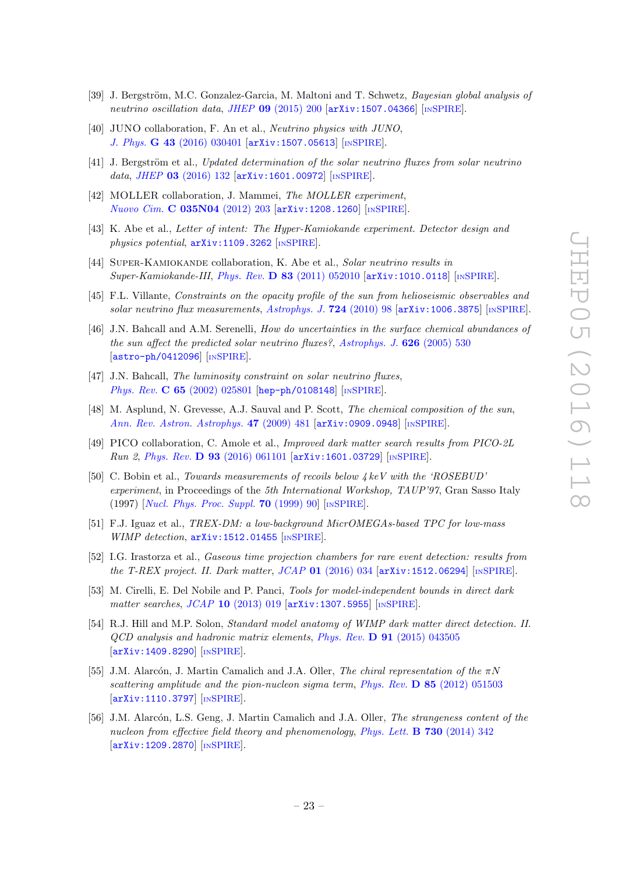- <span id="page-23-0"></span>[39] J. Bergström, M.C. Gonzalez-Garcia, M. Maltoni and T. Schwetz, Bayesian global analysis of neutrino oscillation data, JHEP 09 [\(2015\) 200](http://dx.doi.org/10.1007/JHEP09(2015)200) [[arXiv:1507.04366](http://arxiv.org/abs/1507.04366)] [IN[SPIRE](http://inspirehep.net/search?p=find+EPRINT+arXiv:1507.04366)].
- <span id="page-23-1"></span>[40] JUNO collaboration, F. An et al., *Neutrino physics with JUNO*, J. Phys. G 43 [\(2016\) 030401](http://dx.doi.org/10.1088/0954-3899/43/3/030401) [[arXiv:1507.05613](http://arxiv.org/abs/1507.05613)] [IN[SPIRE](http://inspirehep.net/search?p=find+EPRINT+arXiv:1507.05613)].
- <span id="page-23-2"></span>[41] J. Bergström et al., Updated determination of the solar neutrino fluxes from solar neutrino data, JHEP 03 [\(2016\) 132](http://dx.doi.org/10.1007/JHEP03(2016)132)  $\text{arXiv:1601.00972}$  $\text{arXiv:1601.00972}$  $\text{arXiv:1601.00972}$   $\text{[mSPIRE]}$  $\text{[mSPIRE]}$  $\text{[mSPIRE]}$ .
- <span id="page-23-3"></span>[42] MOLLER collaboration, J. Mammei, The MOLLER experiment, [Nuovo Cim.](http://dx.doi.org/10.1393/ncc/i2012-11284-7) C 035N04 (2012) 203 [[arXiv:1208.1260](http://arxiv.org/abs/1208.1260)] [IN[SPIRE](http://inspirehep.net/search?p=find+EPRINT+arXiv:1208.1260)].
- <span id="page-23-5"></span>[43] K. Abe et al., Letter of intent: The Hyper-Kamiokande experiment. Detector design and physics potential,  $arXiv:1109.3262$  [IN[SPIRE](http://inspirehep.net/search?p=find+EPRINT+arXiv:1109.3262)].
- <span id="page-23-4"></span>[44] SUPER-KAMIOKANDE collaboration, K. Abe et al., Solar neutrino results in Super-Kamiokande-III, Phys. Rev. D 83 [\(2011\) 052010](http://dx.doi.org/10.1103/PhysRevD.83.052010) [[arXiv:1010.0118](http://arxiv.org/abs/1010.0118)] [IN[SPIRE](http://inspirehep.net/search?p=find+EPRINT+arXiv:1010.0118)].
- <span id="page-23-7"></span>[45] F.L. Villante, Constraints on the opacity profile of the sun from helioseismic observables and solar neutrino flux measurements, [Astrophys. J.](http://dx.doi.org/10.1088/0004-637X/724/1/98) 724 (2010) 98 [[arXiv:1006.3875](http://arxiv.org/abs/1006.3875)] [IN[SPIRE](http://inspirehep.net/search?p=find+EPRINT+arXiv:1006.3875)].
- <span id="page-23-8"></span>[46] J.N. Bahcall and A.M. Serenelli, How do uncertainties in the surface chemical abundances of the sun affect the predicted solar neutrino fluxes?, [Astrophys. J.](http://dx.doi.org/10.1086/429883) 626 (2005) 530 [[astro-ph/0412096](http://arxiv.org/abs/astro-ph/0412096)] [IN[SPIRE](http://inspirehep.net/search?p=find+EPRINT+astro-ph/0412096)].
- <span id="page-23-6"></span>[47] J.N. Bahcall, The luminosity constraint on solar neutrino fluxes, Phys. Rev. C 65 [\(2002\) 025801](http://dx.doi.org/10.1103/PhysRevC.65.025801) [[hep-ph/0108148](http://arxiv.org/abs/hep-ph/0108148)] [IN[SPIRE](http://inspirehep.net/search?p=find+EPRINT+hep-ph/0108148)].
- <span id="page-23-9"></span>[48] M. Asplund, N. Grevesse, A.J. Sauval and P. Scott, The chemical composition of the sun, [Ann. Rev. Astron. Astrophys.](http://dx.doi.org/10.1146/annurev.astro.46.060407.145222) 47 (2009) 481 [[arXiv:0909.0948](http://arxiv.org/abs/0909.0948)] [IN[SPIRE](http://inspirehep.net/search?p=find+EPRINT+arXiv:0909.0948)].
- <span id="page-23-10"></span>[49] PICO collaboration, C. Amole et al., Improved dark matter search results from PICO-2L Run 2, Phys. Rev. D 93 [\(2016\) 061101](http://dx.doi.org/10.1103/PhysRevD.93.061101) [[arXiv:1601.03729](http://arxiv.org/abs/1601.03729)] [IN[SPIRE](http://inspirehep.net/search?p=find+EPRINT+arXiv:1601.03729)].
- <span id="page-23-11"></span>[50] C. Bobin et al., Towards measurements of recoils below 4 keV with the 'ROSEBUD' experiment, in Proceedings of the 5th International Workshop, TAUP'97, Gran Sasso Italy (1997) [[Nucl. Phys. Proc. Suppl.](http://dx.doi.org/10.1016/S0920-5632(98)00394-6) 70 (1999) 90] [IN[SPIRE](http://inspirehep.net/search?p=find+J+"Nucl.Phys.Proc.Suppl.,70,90")].
- <span id="page-23-12"></span>[51] F.J. Iguaz et al., TREX-DM: a low-background MicrOMEGAs-based TPC for low-mass WIMP detection,  $arXiv:1512.01455$  [IN[SPIRE](http://inspirehep.net/search?p=find+EPRINT+arXiv:1512.01455)].
- <span id="page-23-13"></span>[52] I.G. Irastorza et al., Gaseous time projection chambers for rare event detection: results from the T-REX project. II. Dark matter,  $JCAP$  01 [\(2016\) 034](http://dx.doi.org/10.1088/1475-7516/2016/01/034) [[arXiv:1512.06294](http://arxiv.org/abs/1512.06294)] [IN[SPIRE](http://inspirehep.net/search?p=find+EPRINT+arXiv:1512.06294)].
- <span id="page-23-14"></span>[53] M. Cirelli, E. Del Nobile and P. Panci, Tools for model-independent bounds in direct dark matter searches, JCAP 10 [\(2013\) 019](http://dx.doi.org/10.1088/1475-7516/2013/10/019) [[arXiv:1307.5955](http://arxiv.org/abs/1307.5955)] [IN[SPIRE](http://inspirehep.net/search?p=find+EPRINT+arXiv:1307.5955)].
- <span id="page-23-15"></span>[54] R.J. Hill and M.P. Solon, Standard model anatomy of WIMP dark matter direct detection. II.  $QCD$  analysis and hadronic matrix elements, Phys. Rev.  $\bf{D}$  91 [\(2015\) 043505](http://dx.doi.org/10.1103/PhysRevD.91.043505) [[arXiv:1409.8290](http://arxiv.org/abs/1409.8290)] [IN[SPIRE](http://inspirehep.net/search?p=find+EPRINT+arXiv:1409.8290)].
- <span id="page-23-16"></span>[55] J.M. Alarcón, J. Martin Camalich and J.A. Oller, The chiral representation of the  $\pi N$ scattering amplitude and the pion-nucleon sigma term, Phys. Rev.  $\bf{D} 85$  [\(2012\) 051503](http://dx.doi.org/10.1103/PhysRevD.85.051503) [[arXiv:1110.3797](http://arxiv.org/abs/1110.3797)] [IN[SPIRE](http://inspirehep.net/search?p=find+EPRINT+arXiv:1110.3797)].
- <span id="page-23-17"></span>[56] J.M. Alarcón, L.S. Geng, J. Martin Camalich and J.A. Oller, The strangeness content of the nucleon from effective field theory and phenomenology, [Phys. Lett.](http://dx.doi.org/10.1016/j.physletb.2014.01.065) **B** 730 (2014) 342 [[arXiv:1209.2870](http://arxiv.org/abs/1209.2870)] [IN[SPIRE](http://inspirehep.net/search?p=find+EPRINT+arXiv:1209.2870)].